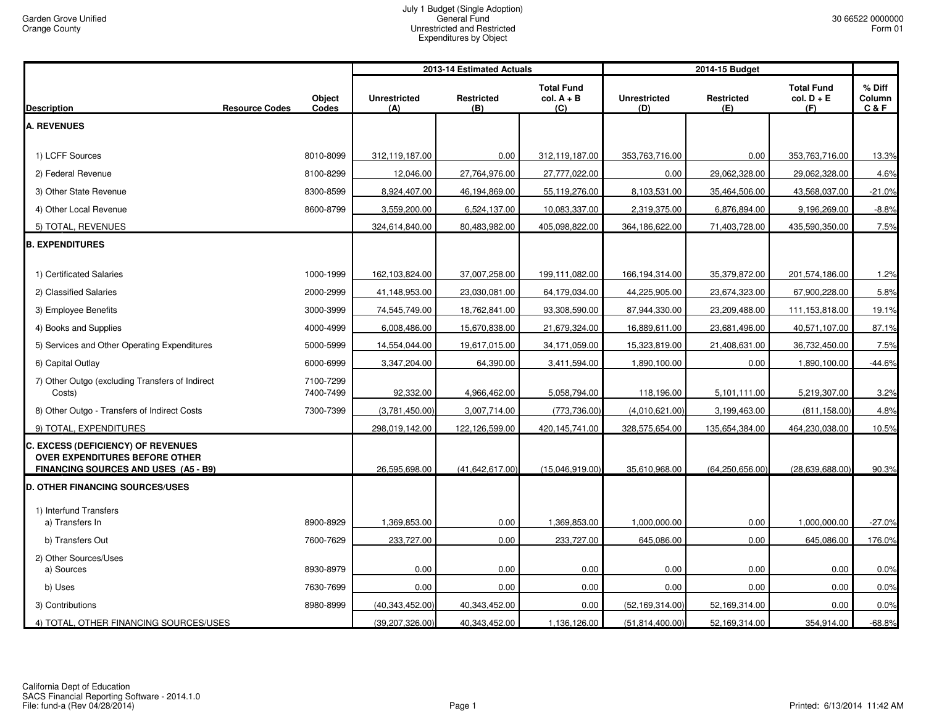|                                                                                                                     |                        |                            | 2013-14 Estimated Actuals |                                          |                            |                          |                                          |                         |
|---------------------------------------------------------------------------------------------------------------------|------------------------|----------------------------|---------------------------|------------------------------------------|----------------------------|--------------------------|------------------------------------------|-------------------------|
| <b>Resource Codes</b><br><b>Description</b>                                                                         | <b>Object</b><br>Codes | <b>Unrestricted</b><br>(A) | Restricted<br>(B)         | <b>Total Fund</b><br>$col. A + B$<br>(C) | <b>Unrestricted</b><br>(D) | <b>Restricted</b><br>(E) | <b>Total Fund</b><br>$col. D + E$<br>(F) | % Diff<br>Column<br>C&F |
| <b>A. REVENUES</b>                                                                                                  |                        |                            |                           |                                          |                            |                          |                                          |                         |
|                                                                                                                     |                        |                            |                           |                                          |                            |                          |                                          |                         |
| 1) LCFF Sources                                                                                                     | 8010-8099              | 312,119,187.00             | 0.00                      | 312,119,187.00                           | 353,763,716.00             | 0.00                     | 353,763,716.00                           | 13.3%                   |
| 2) Federal Revenue                                                                                                  | 8100-8299              | 12,046.00                  | 27,764,976.00             | 27,777,022.00                            | 0.00                       | 29,062,328.00            | 29,062,328.00                            | 4.6%                    |
| 3) Other State Revenue                                                                                              | 8300-8599              | 8,924,407.00               | 46,194,869.00             | 55,119,276.00                            | 8,103,531.00               | 35,464,506.00            | 43,568,037.00                            | $-21.0%$                |
| 4) Other Local Revenue                                                                                              | 8600-8799              | 3,559,200.00               | 6,524,137.00              | 10,083,337.00                            | 2,319,375.00               | 6,876,894.00             | 9,196,269.00                             | $-8.8%$                 |
| 5) TOTAL, REVENUES                                                                                                  |                        | 324,614,840.00             | 80,483,982.00             | 405,098,822.00                           | 364,186,622.00             | 71,403,728.00            | 435,590,350.00                           | 7.5%                    |
| <b>B. EXPENDITURES</b>                                                                                              |                        |                            |                           |                                          |                            |                          |                                          |                         |
| 1) Certificated Salaries                                                                                            | 1000-1999              | 162,103,824.00             | 37,007,258.00             | 199,111,082.00                           | 166,194,314.00             | 35,379,872.00            | 201,574,186.00                           | 1.2%                    |
| 2) Classified Salaries                                                                                              | 2000-2999              | 41,148,953.00              | 23,030,081.00             | 64,179,034.00                            | 44,225,905.00              | 23,674,323.00            | 67,900,228.00                            | 5.8%                    |
| 3) Employee Benefits                                                                                                | 3000-3999              | 74,545,749.00              | 18,762,841.00             | 93,308,590.00                            | 87,944,330.00              | 23,209,488.00            | 111,153,818.00                           | 19.1%                   |
| 4) Books and Supplies                                                                                               | 4000-4999              | 6,008,486.00               | 15,670,838.00             | 21,679,324.00                            | 16,889,611.00              | 23,681,496.00            | 40,571,107.00                            | 87.1%                   |
| 5) Services and Other Operating Expenditures                                                                        | 5000-5999              | 14,554,044.00              | 19,617,015.00             | 34,171,059.00                            | 15,323,819.00              | 21,408,631.00            | 36,732,450.00                            | 7.5%                    |
| 6) Capital Outlay                                                                                                   | 6000-6999              | 3,347,204.00               | 64,390.00                 | 3,411,594.00                             | 1,890,100.00               | 0.00                     | 1,890,100.00                             | $-44.6%$                |
| 7) Other Outgo (excluding Transfers of Indirect<br>Costs)                                                           | 7100-7299<br>7400-7499 | 92,332.00                  | 4,966,462.00              | 5,058,794.00                             | 118,196.00                 | 5,101,111.00             | 5,219,307.00                             | 3.2%                    |
| 8) Other Outgo - Transfers of Indirect Costs                                                                        | 7300-7399              | (3,781,450.00)             | 3,007,714.00              | (773, 736.00)                            | (4,010,621.00)             | 3,199,463.00             | (811, 158.00)                            | 4.8%                    |
| 9) TOTAL, EXPENDITURES                                                                                              |                        | 298,019,142.00             | 122,126,599.00            | 420,145,741.00                           | 328,575,654.00             | 135,654,384.00           | 464,230,038.00                           | 10.5%                   |
| <b>C. EXCESS (DEFICIENCY) OF REVENUES</b><br>OVER EXPENDITURES BEFORE OTHER<br>FINANCING SOURCES AND USES (A5 - B9) |                        | 26,595,698.00              | (41, 642, 617.00)         | (15,046,919.00)                          | 35,610,968.00              | (64, 250, 656.00)        | (28, 639, 688.00)                        | 90.3%                   |
| <b>D. OTHER FINANCING SOURCES/USES</b>                                                                              |                        |                            |                           |                                          |                            |                          |                                          |                         |
| 1) Interfund Transfers<br>a) Transfers In                                                                           | 8900-8929              | 1,369,853.00               | 0.00                      | 1,369,853.00                             | 1,000,000.00               | 0.00                     | 1,000,000.00                             | $-27.0%$                |
| b) Transfers Out                                                                                                    | 7600-7629              | 233,727.00                 | 0.00                      | 233,727.00                               | 645,086.00                 | 0.00                     | 645,086.00                               | 176.0%                  |
| 2) Other Sources/Uses<br>a) Sources                                                                                 | 8930-8979              | 0.00                       | 0.00                      | 0.00                                     | 0.00                       | 0.00                     | 0.00                                     | 0.0%                    |
| b) Uses                                                                                                             | 7630-7699              | 0.00                       | 0.00                      | 0.00                                     | 0.00                       | 0.00                     | 0.00                                     | 0.0%                    |
| 3) Contributions                                                                                                    | 8980-8999              | (40, 343, 452.00)          | 40,343,452.00             | 0.00                                     | (52, 169, 314.00)          | 52,169,314.00            | 0.00                                     | 0.0%                    |
| 4) TOTAL, OTHER FINANCING SOURCES/USES                                                                              |                        | (39, 207, 326.00)          | 40,343,452.00             | 1,136,126.00                             | (51, 814, 400.00)          | 52,169,314.00            | 354,914.00                               | $-68.8%$                |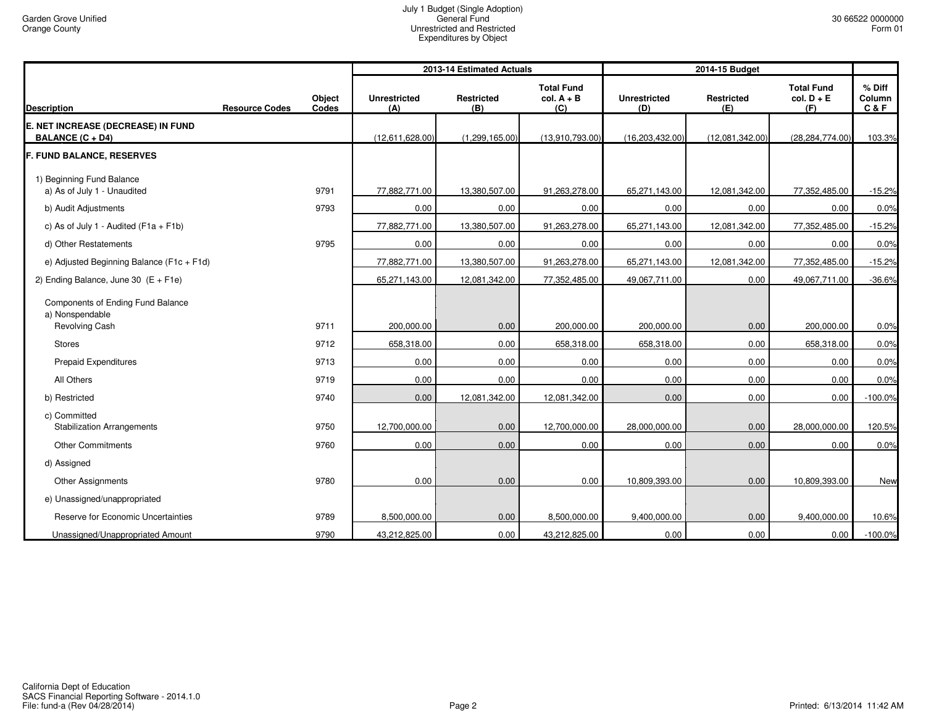|                                                                        |                       |                 |                            | 2013-14 Estimated Actuals |                                          | 2014-15 Budget             |                          |                                          |                         |
|------------------------------------------------------------------------|-----------------------|-----------------|----------------------------|---------------------------|------------------------------------------|----------------------------|--------------------------|------------------------------------------|-------------------------|
| <b>Description</b>                                                     | <b>Resource Codes</b> | Object<br>Codes | <b>Unrestricted</b><br>(A) | <b>Restricted</b><br>(B)  | <b>Total Fund</b><br>$col. A + B$<br>(C) | <b>Unrestricted</b><br>(D) | <b>Restricted</b><br>(E) | <b>Total Fund</b><br>$col. D + E$<br>(F) | % Diff<br>Column<br>C&F |
| E. NET INCREASE (DECREASE) IN FUND<br><b>BALANCE (C + D4)</b>          |                       |                 | (12,611,628.00)            | (1,299,165.00)            | (13,910,793.00)                          | (16, 203, 432.00)          | (12,081,342.00)          | (28, 284, 774.00)                        | 103.3%                  |
| <b>F. FUND BALANCE, RESERVES</b>                                       |                       |                 |                            |                           |                                          |                            |                          |                                          |                         |
| 1) Beginning Fund Balance<br>a) As of July 1 - Unaudited               |                       | 9791            | 77,882,771.00              | 13,380,507.00             | 91,263,278.00                            | 65,271,143.00              | 12,081,342.00            | 77,352,485.00                            | $-15.2%$                |
| b) Audit Adjustments                                                   |                       | 9793            | 0.00                       | 0.00                      | 0.00                                     | 0.00                       | 0.00                     | 0.00                                     | 0.0%                    |
| c) As of July 1 - Audited ( $F1a + F1b$ )                              |                       |                 | 77,882,771.00              | 13,380,507.00             | 91,263,278.00                            | 65,271,143.00              | 12,081,342.00            | 77,352,485.00                            | $-15.2%$                |
| d) Other Restatements                                                  |                       | 9795            | 0.00                       | 0.00                      | 0.00                                     | 0.00                       | 0.00                     | 0.00                                     | 0.0%                    |
| e) Adjusted Beginning Balance (F1c + F1d)                              |                       |                 | 77,882,771.00              | 13,380,507.00             | 91,263,278.00                            | 65,271,143.00              | 12,081,342.00            | 77,352,485.00                            | $-15.2%$                |
| 2) Ending Balance, June 30 $(E + F1e)$                                 |                       |                 | 65,271,143.00              | 12,081,342.00             | 77,352,485.00                            | 49,067,711.00              | 0.00                     | 49,067,711.00                            | $-36.6%$                |
| Components of Ending Fund Balance<br>a) Nonspendable<br>Revolving Cash |                       | 9711            | 200,000.00                 | 0.00                      | 200,000.00                               | 200,000.00                 | 0.00                     | 200,000.00                               | 0.0%                    |
| <b>Stores</b>                                                          |                       | 9712            | 658,318.00                 | 0.00                      | 658,318.00                               | 658,318.00                 | 0.00                     | 658,318.00                               | 0.0%                    |
| Prepaid Expenditures                                                   |                       | 9713            | 0.00                       | 0.00                      | 0.00                                     | 0.00                       | 0.00                     | 0.00                                     | 0.0%                    |
| All Others                                                             |                       | 9719            | 0.00                       | 0.00                      | 0.00                                     | 0.00                       | 0.00                     | 0.00                                     | 0.0%                    |
| b) Restricted                                                          |                       | 9740            | 0.00                       | 12,081,342.00             | 12,081,342.00                            | 0.00                       | 0.00                     | 0.00                                     | $-100.0%$               |
| c) Committed<br><b>Stabilization Arrangements</b>                      |                       | 9750            | 12,700,000.00              | 0.00                      | 12,700,000.00                            | 28,000,000.00              | 0.00                     | 28,000,000.00                            | 120.5%                  |
| <b>Other Commitments</b>                                               |                       | 9760            | 0.00                       | 0.00                      | 0.00                                     | 0.00                       | 0.00                     | 0.00                                     | 0.0%                    |
| d) Assigned                                                            |                       |                 |                            |                           |                                          |                            |                          |                                          |                         |
| Other Assignments                                                      |                       | 9780            | 0.00                       | 0.00                      | 0.00                                     | 10,809,393.00              | 0.00                     | 10,809,393.00                            | New                     |
| e) Unassigned/unappropriated                                           |                       |                 |                            |                           |                                          |                            |                          |                                          |                         |
| Reserve for Economic Uncertainties                                     |                       | 9789            | 8,500,000.00               | 0.00                      | 8,500,000.00                             | 9,400,000.00               | 0.00                     | 9,400,000.00                             | 10.6%                   |
| Unassigned/Unappropriated Amount                                       |                       | 9790            | 43,212,825.00              | 0.00                      | 43,212,825.00                            | 0.00                       | 0.00                     | 0.00                                     | $-100.0%$               |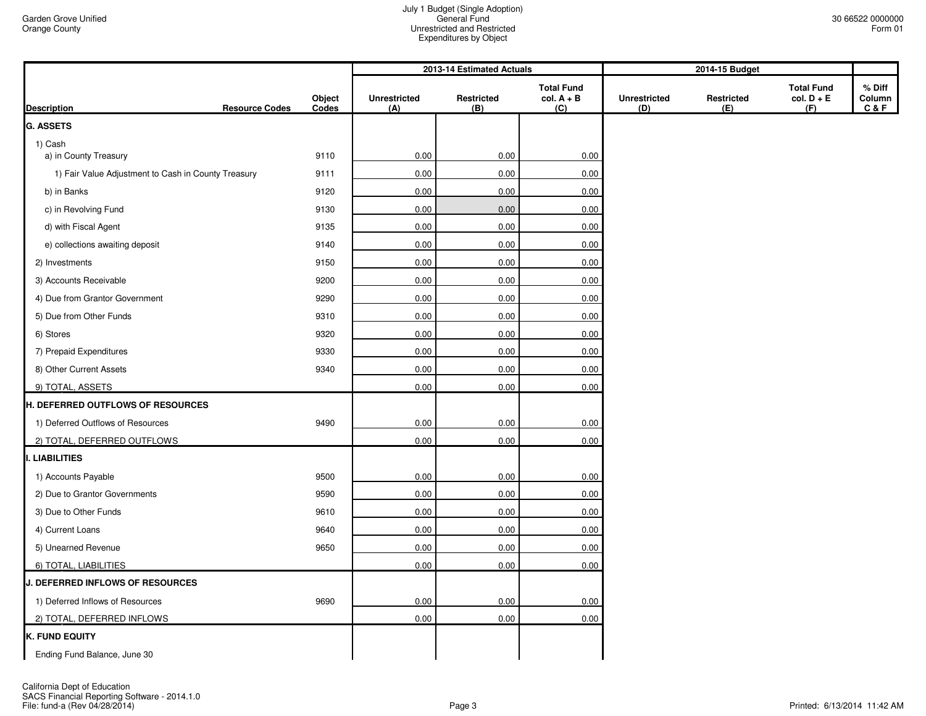|                                                     |                 |                            | 2013-14 Estimated Actuals |                                          | 2014-15 Budget             |                   |                                          |                           |
|-----------------------------------------------------|-----------------|----------------------------|---------------------------|------------------------------------------|----------------------------|-------------------|------------------------------------------|---------------------------|
| <b>Resource Codes</b><br><b>Description</b>         | Object<br>Codes | <b>Unrestricted</b><br>(A) | Restricted<br>(B)         | <b>Total Fund</b><br>$col. A + B$<br>(C) | <b>Unrestricted</b><br>(D) | Restricted<br>(E) | <b>Total Fund</b><br>$col. D + E$<br>(F) | % Diff<br>Column<br>C & F |
| <b>G. ASSETS</b>                                    |                 |                            |                           |                                          |                            |                   |                                          |                           |
| 1) Cash                                             |                 |                            |                           |                                          |                            |                   |                                          |                           |
| a) in County Treasury                               | 9110            | 0.00                       | 0.00                      | 0.00                                     |                            |                   |                                          |                           |
| 1) Fair Value Adjustment to Cash in County Treasury | 9111            | 0.00                       | 0.00                      | 0.00                                     |                            |                   |                                          |                           |
| b) in Banks                                         | 9120            | 0.00                       | 0.00                      | 0.00                                     |                            |                   |                                          |                           |
| c) in Revolving Fund                                | 9130            | 0.00                       | 0.00                      | $0.00\,$                                 |                            |                   |                                          |                           |
| d) with Fiscal Agent                                | 9135            | 0.00                       | 0.00                      | 0.00                                     |                            |                   |                                          |                           |
| e) collections awaiting deposit                     | 9140            | 0.00                       | 0.00                      | 0.00                                     |                            |                   |                                          |                           |
| 2) Investments                                      | 9150            | 0.00                       | 0.00                      | 0.00                                     |                            |                   |                                          |                           |
| 3) Accounts Receivable                              | 9200            | 0.00                       | 0.00                      | 0.00                                     |                            |                   |                                          |                           |
| 4) Due from Grantor Government                      | 9290            | 0.00                       | 0.00                      | 0.00                                     |                            |                   |                                          |                           |
| 5) Due from Other Funds                             | 9310            | 0.00                       | 0.00                      | 0.00                                     |                            |                   |                                          |                           |
| 6) Stores                                           | 9320            | 0.00                       | 0.00                      | 0.00                                     |                            |                   |                                          |                           |
| 7) Prepaid Expenditures                             | 9330            | 0.00                       | 0.00                      | 0.00                                     |                            |                   |                                          |                           |
| 8) Other Current Assets                             | 9340            | 0.00                       | 0.00                      | 0.00                                     |                            |                   |                                          |                           |
| 9) TOTAL, ASSETS                                    |                 | 0.00                       | 0.00                      | 0.00                                     |                            |                   |                                          |                           |
| H. DEFERRED OUTFLOWS OF RESOURCES                   |                 |                            |                           |                                          |                            |                   |                                          |                           |
| 1) Deferred Outflows of Resources                   | 9490            | 0.00                       | 0.00                      | 0.00                                     |                            |                   |                                          |                           |
| 2) TOTAL, DEFERRED OUTFLOWS                         |                 | 0.00                       | 0.00                      | 0.00                                     |                            |                   |                                          |                           |
| I. LIABILITIES                                      |                 |                            |                           |                                          |                            |                   |                                          |                           |
| 1) Accounts Payable                                 | 9500            | 0.00                       | 0.00                      | 0.00                                     |                            |                   |                                          |                           |
| 2) Due to Grantor Governments                       | 9590            | 0.00                       | 0.00                      | 0.00                                     |                            |                   |                                          |                           |
| 3) Due to Other Funds                               | 9610            | 0.00                       | 0.00                      | $0.00\,$                                 |                            |                   |                                          |                           |
| 4) Current Loans                                    | 9640            | 0.00                       | 0.00                      | 0.00                                     |                            |                   |                                          |                           |
| 5) Unearned Revenue                                 | 9650            | 0.00                       | 0.00                      | 0.00                                     |                            |                   |                                          |                           |
| 6) TOTAL, LIABILITIES                               |                 | 0.00                       | 0.00                      | 0.00                                     |                            |                   |                                          |                           |
| J. DEFERRED INFLOWS OF RESOURCES                    |                 |                            |                           |                                          |                            |                   |                                          |                           |
| 1) Deferred Inflows of Resources                    | 9690            | 0.00                       | 0.00                      | 0.00                                     |                            |                   |                                          |                           |
| 2) TOTAL, DEFERRED INFLOWS                          |                 | 0.00                       | 0.00                      | 0.00                                     |                            |                   |                                          |                           |
| <b>K. FUND EQUITY</b>                               |                 |                            |                           |                                          |                            |                   |                                          |                           |
| Ending Fund Balance, June 30                        |                 |                            |                           |                                          |                            |                   |                                          |                           |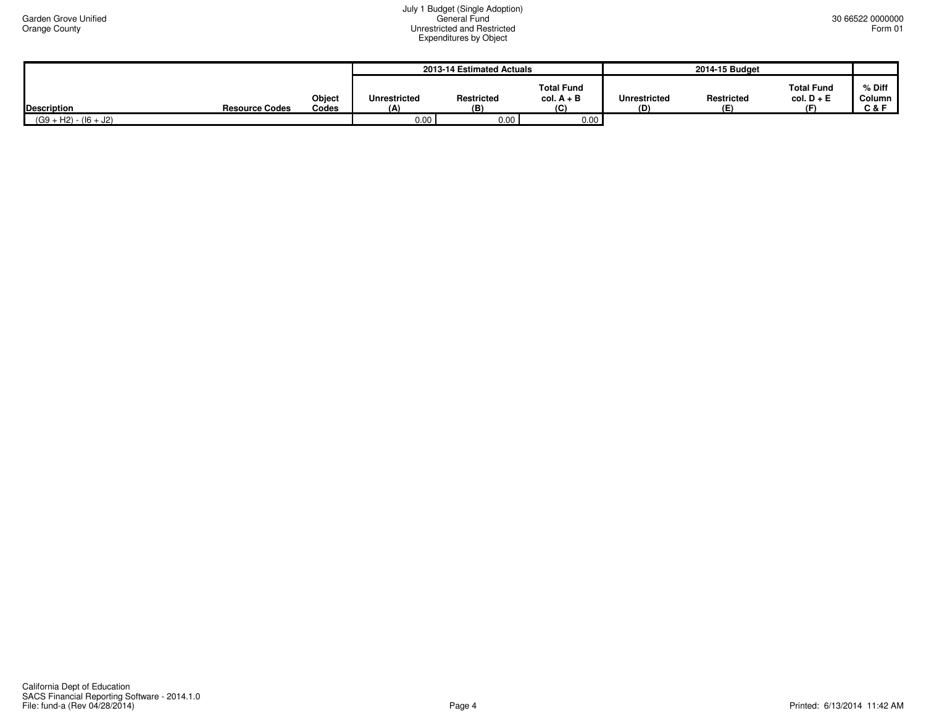|                         |                       |                        | 2013-14 Estimated Actuals  |                   |                                          | 2014-15 Budget      |                          |                                         |                                      |
|-------------------------|-----------------------|------------------------|----------------------------|-------------------|------------------------------------------|---------------------|--------------------------|-----------------------------------------|--------------------------------------|
| <b>Description</b>      | <b>Resource Codes</b> | <b>Object</b><br>Codes | <b>Unrestricted</b><br>(A) | Restricted<br>(B) | <b>Total Fund</b><br>$col. A + B$<br>(C) | Unrestricted<br>(D) | <b>Restricted</b><br>(E) | <b>Total Fund</b><br>$col. D + E$<br>(F | $%$ Diff<br>Column<br><b>C&amp;F</b> |
| $(G9 + H2) - (16 + J2)$ |                       |                        | 0.00                       | 0.00              | 0.00                                     |                     |                          |                                         |                                      |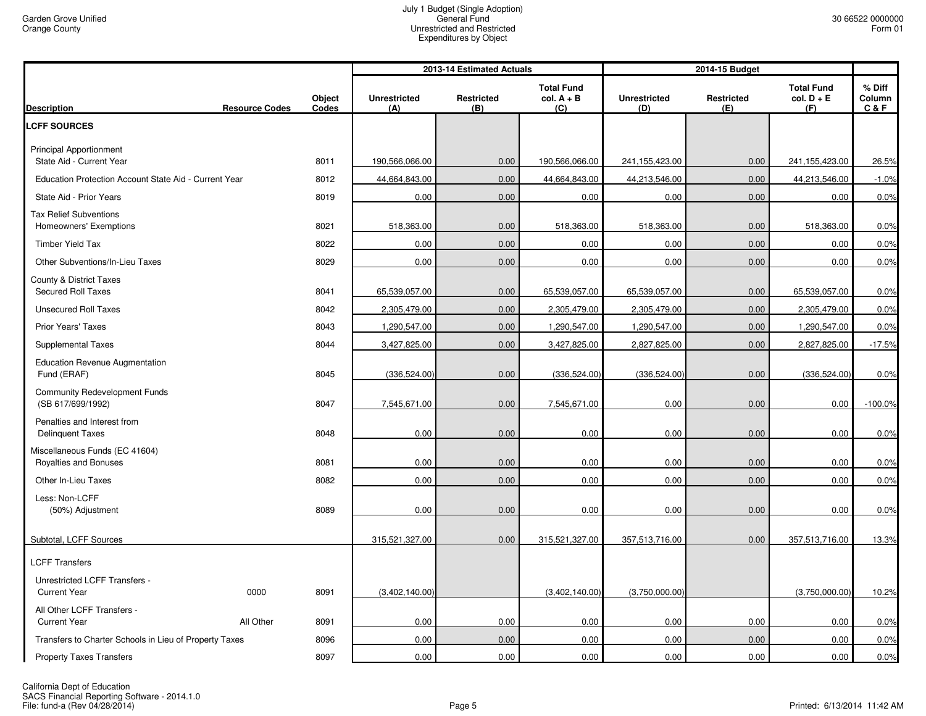|                                                            |                       |                 |                            | 2013-14 Estimated Actuals |                                          |                            | 2014-15 Budget    |                                          |                         |
|------------------------------------------------------------|-----------------------|-----------------|----------------------------|---------------------------|------------------------------------------|----------------------------|-------------------|------------------------------------------|-------------------------|
| <b>Description</b>                                         | <b>Resource Codes</b> | Object<br>Codes | <b>Unrestricted</b><br>(A) | Restricted<br>(B)         | <b>Total Fund</b><br>$col. A + B$<br>(C) | <b>Unrestricted</b><br>(D) | Restricted<br>(E) | <b>Total Fund</b><br>$col. D + E$<br>(F) | % Diff<br>Column<br>C&F |
| <b>LCFF SOURCES</b>                                        |                       |                 |                            |                           |                                          |                            |                   |                                          |                         |
| <b>Principal Apportionment</b><br>State Aid - Current Year |                       | 8011            | 190,566,066.00             | 0.00                      | 190,566,066.00                           | 241,155,423.00             | 0.00              | 241,155,423.00                           | 26.5%                   |
| Education Protection Account State Aid - Current Year      |                       | 8012            | 44,664,843.00              | 0.00                      | 44,664,843.00                            | 44,213,546.00              | 0.00              | 44,213,546.00                            | $-1.0%$                 |
| State Aid - Prior Years                                    |                       | 8019            | 0.00                       | 0.00                      | 0.00                                     | 0.00                       | 0.00              | 0.00                                     | 0.0%                    |
| <b>Tax Relief Subventions</b><br>Homeowners' Exemptions    |                       | 8021            | 518,363.00                 | 0.00                      | 518,363.00                               | 518,363.00                 | 0.00              | 518,363.00                               | 0.0%                    |
| <b>Timber Yield Tax</b>                                    |                       | 8022            | 0.00                       | 0.00                      | 0.00                                     | 0.00                       | 0.00              | 0.00                                     | 0.0%                    |
| Other Subventions/In-Lieu Taxes                            |                       | 8029            | 0.00                       | 0.00                      | 0.00                                     | 0.00                       | 0.00              | 0.00                                     | 0.0%                    |
| County & District Taxes<br><b>Secured Roll Taxes</b>       |                       | 8041            | 65,539,057.00              | 0.00                      | 65,539,057.00                            | 65,539,057.00              | 0.00              | 65,539,057.00                            | 0.0%                    |
| <b>Unsecured Roll Taxes</b>                                |                       | 8042            | 2,305,479.00               | 0.00                      | 2,305,479.00                             | 2,305,479.00               | 0.00              | 2,305,479.00                             | 0.0%                    |
| <b>Prior Years' Taxes</b>                                  |                       | 8043            | 1,290,547.00               | 0.00                      | 1,290,547.00                             | 1,290,547.00               | 0.00              | 1,290,547.00                             | 0.0%                    |
| <b>Supplemental Taxes</b>                                  |                       | 8044            | 3,427,825.00               | 0.00                      | 3,427,825.00                             | 2,827,825.00               | 0.00              | 2,827,825.00                             | $-17.5%$                |
| <b>Education Revenue Augmentation</b><br>Fund (ERAF)       |                       | 8045            | (336, 524.00)              | 0.00                      | (336, 524.00)                            | (336, 524.00)              | 0.00              | (336,524.00)                             | 0.0%                    |
| <b>Community Redevelopment Funds</b><br>(SB 617/699/1992)  |                       | 8047            | 7,545,671.00               | 0.00                      | 7,545,671.00                             | 0.00                       | 0.00              | 0.00                                     | $-100.0%$               |
| Penalties and Interest from<br><b>Delinquent Taxes</b>     |                       | 8048            | 0.00                       | 0.00                      | 0.00                                     | 0.00                       | 0.00              | 0.00                                     | 0.0%                    |
| Miscellaneous Funds (EC 41604)<br>Royalties and Bonuses    |                       | 8081            | 0.00                       | 0.00                      | 0.00                                     | 0.00                       | 0.00              | 0.00                                     | 0.0%                    |
| Other In-Lieu Taxes                                        |                       | 8082            | 0.00                       | 0.00                      | 0.00                                     | 0.00                       | 0.00              | 0.00                                     | 0.0%                    |
| Less: Non-LCFF<br>(50%) Adjustment                         |                       | 8089            | 0.00                       | 0.00                      | 0.00                                     | 0.00                       | 0.00              | 0.00                                     | 0.0%                    |
| Subtotal, LCFF Sources                                     |                       |                 | 315,521,327.00             | 0.00                      | 315,521,327.00                           | 357,513,716.00             | 0.00              | 357,513,716.00                           | 13.3%                   |
| <b>LCFF Transfers</b>                                      |                       |                 |                            |                           |                                          |                            |                   |                                          |                         |
| Unrestricted LCFF Transfers -<br><b>Current Year</b>       | 0000                  | 8091            | (3,402,140.00)             |                           | (3,402,140.00)                           | (3,750,000.00)             |                   | (3,750,000.00)                           | 10.2%                   |
| All Other LCFF Transfers -<br><b>Current Year</b>          | All Other             | 8091            | 0.00                       | 0.00                      | 0.00                                     | 0.00                       | 0.00              | 0.00                                     | 0.0%                    |
| Transfers to Charter Schools in Lieu of Property Taxes     |                       | 8096            | 0.00                       | 0.00                      | 0.00                                     | 0.00                       | 0.00              | 0.00                                     | 0.0%                    |
| <b>Property Taxes Transfers</b>                            |                       | 8097            | 0.00                       | 0.00                      | 0.00                                     | 0.00                       | 0.00              | 0.00                                     | 0.0%                    |

California Dept of Education<br>SACS Financial Reporting Software - 2014.1.0<br>File: fund-a (Rev 04/28/2014)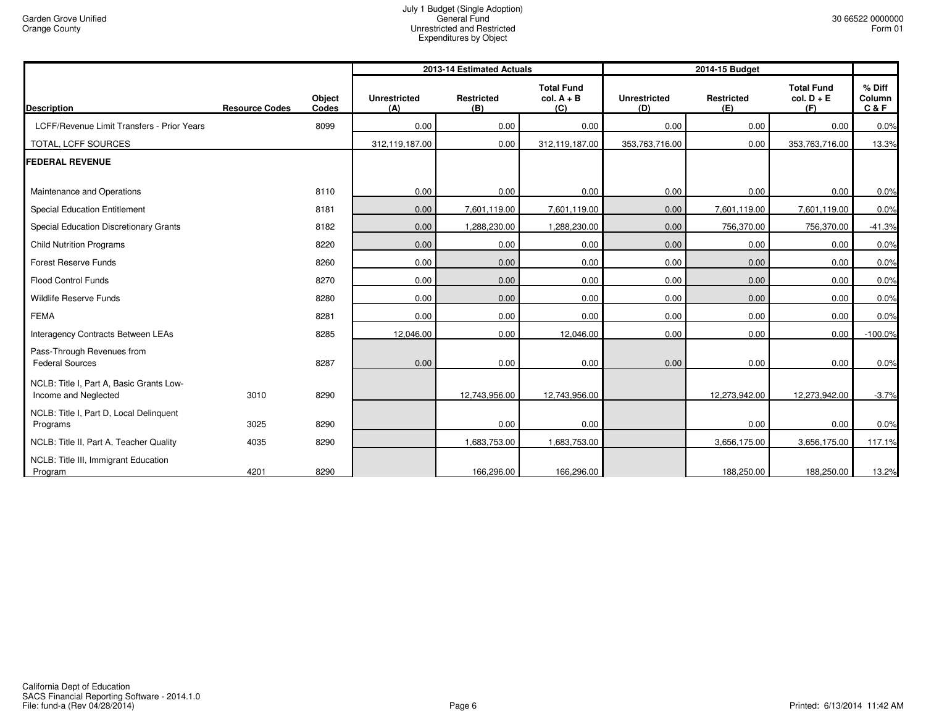|                                                                  |                       |                 |                            | 2013-14 Estimated Actuals |                                          | 2014-15 Budget             |                          |                                          |                           |
|------------------------------------------------------------------|-----------------------|-----------------|----------------------------|---------------------------|------------------------------------------|----------------------------|--------------------------|------------------------------------------|---------------------------|
| <b>Description</b>                                               | <b>Resource Codes</b> | Object<br>Codes | <b>Unrestricted</b><br>(A) | <b>Restricted</b><br>(B)  | <b>Total Fund</b><br>$col. A + B$<br>(C) | <b>Unrestricted</b><br>(D) | <b>Restricted</b><br>(E) | <b>Total Fund</b><br>$col. D + E$<br>(F) | % Diff<br>Column<br>C & F |
| LCFF/Revenue Limit Transfers - Prior Years                       |                       | 8099            | 0.00                       | 0.00                      | 0.00                                     | 0.00                       | 0.00                     | 0.00                                     | 0.0%                      |
| TOTAL, LCFF SOURCES                                              |                       |                 | 312,119,187.00             | 0.00                      | 312,119,187.00                           | 353,763,716.00             | 0.00                     | 353,763,716.00                           | 13.3%                     |
| <b>FEDERAL REVENUE</b>                                           |                       |                 |                            |                           |                                          |                            |                          |                                          |                           |
| Maintenance and Operations                                       |                       | 8110            | 0.00                       | 0.00                      | 0.00                                     | 0.00                       | 0.00                     | 0.00                                     | 0.0%                      |
| <b>Special Education Entitlement</b>                             |                       | 8181            | 0.00                       | 7,601,119.00              | 7,601,119.00                             | 0.00                       | 7,601,119.00             | 7,601,119.00                             | 0.0%                      |
| Special Education Discretionary Grants                           |                       | 8182            | 0.00                       | 1,288,230.00              | 1,288,230.00                             | 0.00                       | 756,370.00               | 756,370.00                               | $-41.3%$                  |
| <b>Child Nutrition Programs</b>                                  |                       | 8220            | 0.00                       | 0.00                      | 0.00                                     | 0.00                       | 0.00                     | 0.00                                     | 0.0%                      |
| <b>Forest Reserve Funds</b>                                      |                       | 8260            | 0.00                       | 0.00                      | 0.00                                     | 0.00                       | 0.00                     | 0.00                                     | 0.0%                      |
| <b>Flood Control Funds</b>                                       |                       | 8270            | 0.00                       | 0.00                      | 0.00                                     | 0.00                       | 0.00                     | 0.00                                     | 0.0%                      |
| Wildlife Reserve Funds                                           |                       | 8280            | 0.00                       | 0.00                      | 0.00                                     | 0.00                       | 0.00                     | 0.00                                     | 0.0%                      |
| <b>FEMA</b>                                                      |                       | 8281            | 0.00                       | 0.00                      | 0.00                                     | 0.00                       | 0.00                     | 0.00                                     | 0.0%                      |
| Interagency Contracts Between LEAs                               |                       | 8285            | 12,046.00                  | 0.00                      | 12,046.00                                | 0.00                       | 0.00                     | 0.00                                     | $-100.0%$                 |
| Pass-Through Revenues from<br><b>Federal Sources</b>             |                       | 8287            | 0.00                       | 0.00                      | 0.00                                     | 0.00                       | 0.00                     | 0.00                                     | 0.0%                      |
| NCLB: Title I, Part A, Basic Grants Low-<br>Income and Neglected | 3010                  | 8290            |                            | 12,743,956.00             | 12,743,956.00                            |                            | 12,273,942.00            | 12,273,942.00                            | $-3.7%$                   |
| NCLB: Title I, Part D, Local Delinquent<br>Programs              | 3025                  | 8290            |                            | 0.00                      | 0.00                                     |                            | 0.00                     | 0.00                                     | 0.0%                      |
| NCLB: Title II, Part A, Teacher Quality                          | 4035                  | 8290            |                            | 1,683,753.00              | 1,683,753.00                             |                            | 3,656,175.00             | 3,656,175.00                             | 117.1%                    |
| NCLB: Title III, Immigrant Education<br>Program                  | 4201                  | 8290            |                            | 166,296.00                | 166,296.00                               |                            | 188,250.00               | 188,250.00                               | 13.2%                     |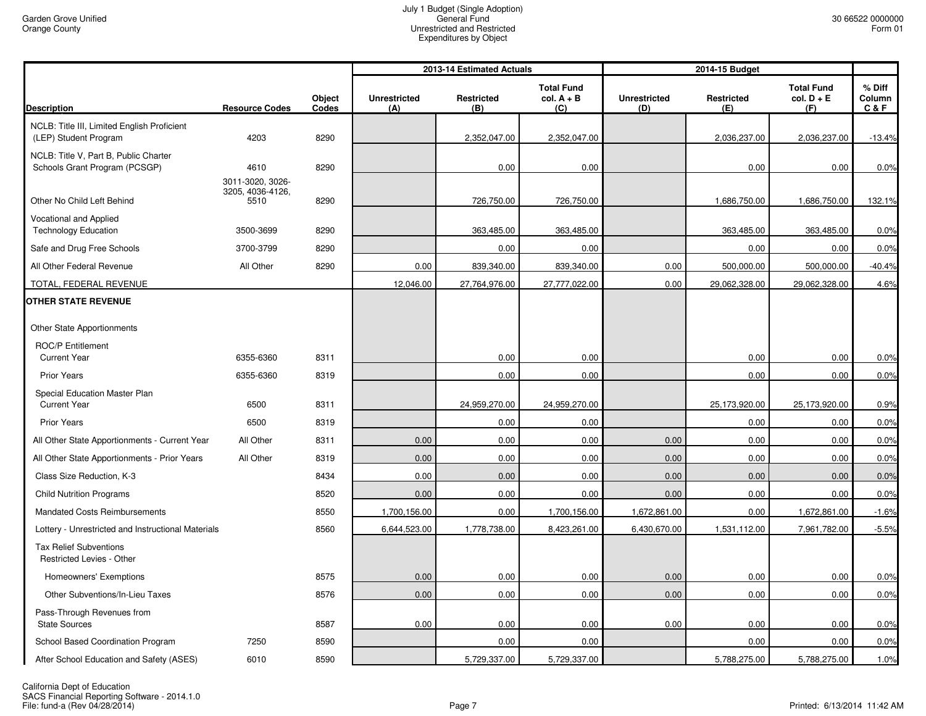|                                                                        |                                              |                 |                            | 2013-14 Estimated Actuals |                                          |                            | 2014-15 Budget           |                                          |                             |
|------------------------------------------------------------------------|----------------------------------------------|-----------------|----------------------------|---------------------------|------------------------------------------|----------------------------|--------------------------|------------------------------------------|-----------------------------|
| <b>Description</b>                                                     | <b>Resource Codes</b>                        | Object<br>Codes | <b>Unrestricted</b><br>(A) | <b>Restricted</b><br>(B)  | <b>Total Fund</b><br>$col. A + B$<br>(C) | <b>Unrestricted</b><br>(D) | <b>Restricted</b><br>(E) | <b>Total Fund</b><br>$col. D + E$<br>(F) | $%$ Diff<br>Column<br>C & F |
| NCLB: Title III, Limited English Proficient<br>(LEP) Student Program   | 4203                                         | 8290            |                            | 2,352,047.00              | 2,352,047.00                             |                            | 2,036,237.00             | 2,036,237.00                             | $-13.4%$                    |
| NCLB: Title V, Part B, Public Charter<br>Schools Grant Program (PCSGP) | 4610                                         | 8290            |                            | 0.00                      | 0.00                                     |                            | 0.00                     | 0.00                                     | 0.0%                        |
| Other No Child Left Behind                                             | 3011-3020, 3026-<br>3205, 4036-4126,<br>5510 | 8290            |                            | 726,750.00                | 726,750.00                               |                            | 1,686,750.00             | 1,686,750.00                             | 132.1%                      |
| Vocational and Applied<br><b>Technology Education</b>                  | 3500-3699                                    | 8290            |                            | 363,485.00                | 363,485.00                               |                            | 363,485.00               | 363,485.00                               | 0.0%                        |
| Safe and Drug Free Schools                                             | 3700-3799                                    | 8290            |                            | 0.00                      | 0.00                                     |                            | 0.00                     | 0.00                                     | 0.0%                        |
| All Other Federal Revenue                                              | All Other                                    | 8290            | 0.00                       | 839,340.00                | 839,340.00                               | 0.00                       | 500,000.00               | 500,000.00                               | $-40.4%$                    |
| TOTAL, FEDERAL REVENUE                                                 |                                              |                 | 12,046.00                  | 27,764,976.00             | 27,777,022.00                            | 0.00                       | 29,062,328.00            | 29,062,328.00                            | 4.6%                        |
| <b>OTHER STATE REVENUE</b>                                             |                                              |                 |                            |                           |                                          |                            |                          |                                          |                             |
| Other State Apportionments                                             |                                              |                 |                            |                           |                                          |                            |                          |                                          |                             |
| ROC/P Entitlement<br><b>Current Year</b>                               | 6355-6360                                    | 8311            |                            | 0.00                      | 0.00                                     |                            | 0.00                     | 0.00                                     | 0.0%                        |
| <b>Prior Years</b>                                                     | 6355-6360                                    | 8319            |                            | 0.00                      | 0.00                                     |                            | 0.00                     | 0.00                                     | 0.0%                        |
| Special Education Master Plan<br><b>Current Year</b>                   | 6500                                         | 8311            |                            | 24,959,270.00             | 24,959,270.00                            |                            | 25,173,920.00            | 25,173,920.00                            | 0.9%                        |
| <b>Prior Years</b>                                                     | 6500                                         | 8319            |                            | 0.00                      | 0.00                                     |                            | 0.00                     | 0.00                                     | 0.0%                        |
| All Other State Apportionments - Current Year                          | All Other                                    | 8311            | 0.00                       | 0.00                      | 0.00                                     | 0.00                       | 0.00                     | 0.00                                     | 0.0%                        |
| All Other State Apportionments - Prior Years                           | All Other                                    | 8319            | 0.00                       | 0.00                      | 0.00                                     | 0.00                       | 0.00                     | 0.00                                     | 0.0%                        |
| Class Size Reduction, K-3                                              |                                              | 8434            | 0.00                       | 0.00                      | 0.00                                     | 0.00                       | 0.00                     | 0.00                                     | 0.0%                        |
| <b>Child Nutrition Programs</b>                                        |                                              | 8520            | 0.00                       | 0.00                      | 0.00                                     | 0.00                       | 0.00                     | 0.00                                     | 0.0%                        |
| <b>Mandated Costs Reimbursements</b>                                   |                                              | 8550            | 1,700,156.00               | 0.00                      | 1,700,156.00                             | 1,672,861.00               | 0.00                     | 1,672,861.00                             | $-1.6%$                     |
| Lottery - Unrestricted and Instructional Materials                     |                                              | 8560            | 6,644,523.00               | 1,778,738.00              | 8,423,261.00                             | 6,430,670.00               | 1,531,112.00             | 7,961,782.00                             | $-5.5%$                     |
| <b>Tax Relief Subventions</b><br>Restricted Levies - Other             |                                              |                 |                            |                           |                                          |                            |                          |                                          |                             |
| Homeowners' Exemptions                                                 |                                              | 8575            | 0.00                       | 0.00                      | 0.00                                     | 0.00                       | 0.00                     | 0.00                                     | 0.0%                        |
| Other Subventions/In-Lieu Taxes                                        |                                              | 8576            | 0.00                       | 0.00                      | 0.00                                     | 0.00                       | 0.00                     | 0.00                                     | 0.0%                        |
| Pass-Through Revenues from<br><b>State Sources</b>                     |                                              | 8587            | 0.00                       | 0.00                      | 0.00                                     | 0.00                       | 0.00                     | 0.00                                     | 0.0%                        |
| School Based Coordination Program                                      | 7250                                         | 8590            |                            | 0.00                      | 0.00                                     |                            | 0.00                     | 0.00                                     | 0.0%                        |
| After School Education and Safety (ASES)                               | 6010                                         | 8590            |                            | 5,729,337.00              | 5,729,337.00                             |                            | 5,788,275.00             | 5,788,275.00                             | 1.0%                        |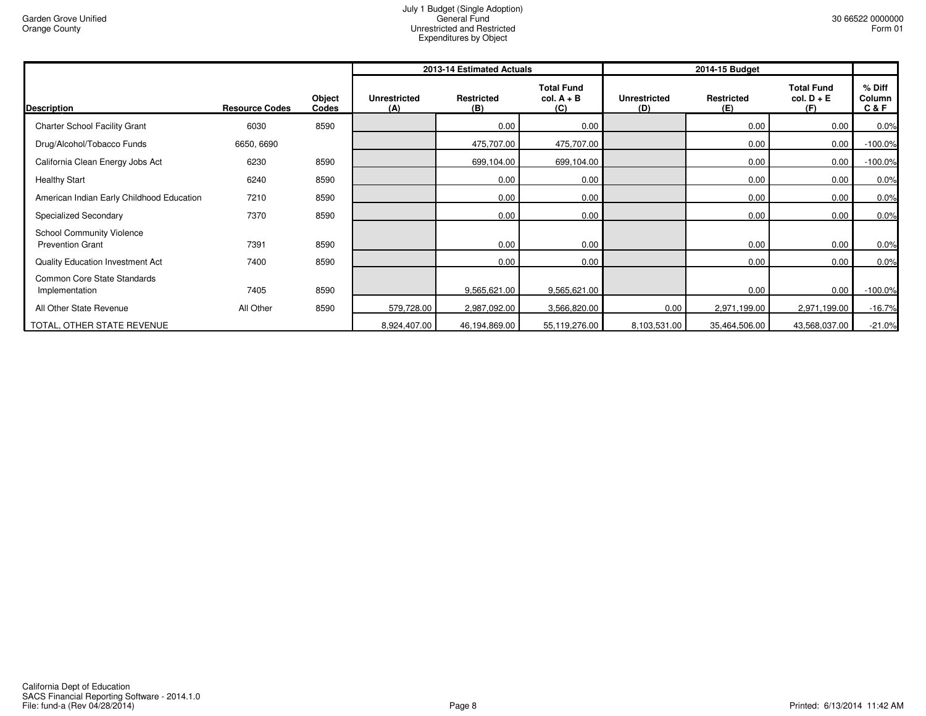|                                                             |                       |                 |                            | 2013-14 Estimated Actuals |                                          | 2014-15 Budget             |                          |                                          |                           |
|-------------------------------------------------------------|-----------------------|-----------------|----------------------------|---------------------------|------------------------------------------|----------------------------|--------------------------|------------------------------------------|---------------------------|
| Description                                                 | <b>Resource Codes</b> | Object<br>Codes | <b>Unrestricted</b><br>(A) | <b>Restricted</b><br>(B)  | <b>Total Fund</b><br>$col. A + B$<br>(C) | <b>Unrestricted</b><br>(D) | <b>Restricted</b><br>(E) | <b>Total Fund</b><br>$col. D + E$<br>(F) | % Diff<br>Column<br>C & F |
| <b>Charter School Facility Grant</b>                        | 6030                  | 8590            |                            | 0.00                      | 0.00                                     |                            | 0.00                     | 0.00                                     | 0.0%                      |
| Drug/Alcohol/Tobacco Funds                                  | 6650, 6690            |                 |                            | 475,707.00                | 475,707.00                               |                            | 0.00                     | 0.00                                     | $-100.0%$                 |
| California Clean Energy Jobs Act                            | 6230                  | 8590            |                            | 699,104.00                | 699,104.00                               |                            | 0.00                     | 0.00                                     | $-100.0%$                 |
| <b>Healthy Start</b>                                        | 6240                  | 8590            |                            | 0.00                      | 0.00                                     |                            | 0.00                     | 0.00                                     | 0.0%                      |
| American Indian Early Childhood Education                   | 7210                  | 8590            |                            | 0.00                      | 0.00                                     |                            | 0.00                     | 0.00                                     | 0.0%                      |
| Specialized Secondary                                       | 7370                  | 8590            |                            | 0.00                      | 0.00                                     |                            | 0.00                     | 0.00                                     | 0.0%                      |
| <b>School Community Violence</b><br><b>Prevention Grant</b> | 7391                  | 8590            |                            | 0.00                      | 0.00                                     |                            | 0.00                     | 0.00                                     | 0.0%                      |
| <b>Quality Education Investment Act</b>                     | 7400                  | 8590            |                            | 0.00                      | 0.00                                     |                            | 0.00                     | 0.00                                     | 0.0%                      |
| Common Core State Standards<br>Implementation               | 7405                  | 8590            |                            | 9,565,621.00              | 9,565,621.00                             |                            | 0.00                     | 0.00                                     | $-100.0%$                 |
| All Other State Revenue                                     | All Other             | 8590            | 579,728.00                 | 2,987,092.00              | 3,566,820.00                             | 0.00                       | 2,971,199.00             | 2,971,199.00                             | $-16.7%$                  |
| TOTAL, OTHER STATE REVENUE                                  |                       |                 | 8,924,407.00               | 46,194,869.00             | 55,119,276.00                            | 8,103,531.00               | 35,464,506.00            | 43,568,037.00                            | $-21.0%$                  |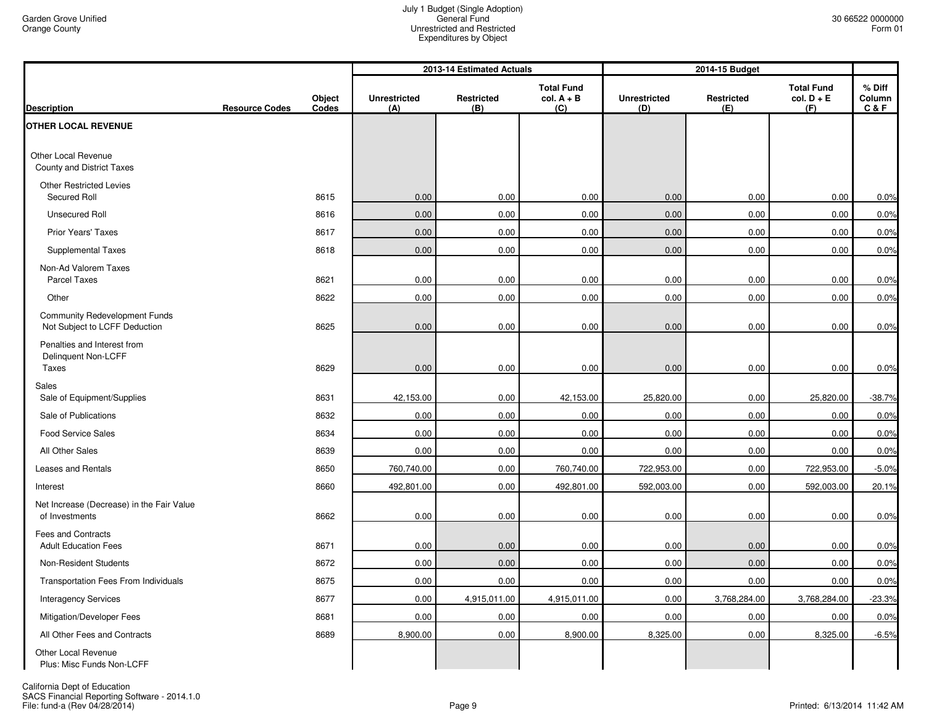|                                                                       |                       |                 |                            | 2013-14 Estimated Actuals |                                          |                            | 2014-15 Budget    |                                          |                         |
|-----------------------------------------------------------------------|-----------------------|-----------------|----------------------------|---------------------------|------------------------------------------|----------------------------|-------------------|------------------------------------------|-------------------------|
| <b>Description</b>                                                    | <b>Resource Codes</b> | Object<br>Codes | <b>Unrestricted</b><br>(A) | Restricted<br>(B)         | <b>Total Fund</b><br>$col. A + B$<br>(C) | <b>Unrestricted</b><br>(D) | Restricted<br>(E) | <b>Total Fund</b><br>$col. D + E$<br>(F) | % Diff<br>Column<br>C&F |
| <b>OTHER LOCAL REVENUE</b>                                            |                       |                 |                            |                           |                                          |                            |                   |                                          |                         |
| Other Local Revenue<br>County and District Taxes                      |                       |                 |                            |                           |                                          |                            |                   |                                          |                         |
| <b>Other Restricted Levies</b><br>Secured Roll                        |                       | 8615            | 0.00                       | 0.00                      | 0.00                                     | 0.00                       | 0.00              | 0.00                                     | 0.0%                    |
| <b>Unsecured Roll</b>                                                 |                       | 8616            | 0.00                       | 0.00                      | 0.00                                     | 0.00                       | 0.00              | 0.00                                     | 0.0%                    |
| Prior Years' Taxes                                                    |                       | 8617            | 0.00                       | 0.00                      | 0.00                                     | 0.00                       | 0.00              | 0.00                                     | 0.0%                    |
| Supplemental Taxes                                                    |                       | 8618            | 0.00                       | 0.00                      | 0.00                                     | 0.00                       | 0.00              | 0.00                                     | 0.0%                    |
| Non-Ad Valorem Taxes<br><b>Parcel Taxes</b>                           |                       | 8621            | 0.00                       | 0.00                      | 0.00                                     | 0.00                       | 0.00              | 0.00                                     | 0.0%                    |
| Other                                                                 |                       | 8622            | 0.00                       | 0.00                      | 0.00                                     | 0.00                       | 0.00              | 0.00                                     | 0.0%                    |
| <b>Community Redevelopment Funds</b><br>Not Subject to LCFF Deduction |                       | 8625            | 0.00                       | 0.00                      | 0.00                                     | 0.00                       | 0.00              | 0.00                                     | 0.0%                    |
| Penalties and Interest from<br>Delinquent Non-LCFF<br>Taxes           |                       | 8629            | 0.00                       | 0.00                      | 0.00                                     | 0.00                       | 0.00              | 0.00                                     | 0.0%                    |
| Sales<br>Sale of Equipment/Supplies                                   |                       | 8631            | 42,153.00                  | 0.00                      | 42,153.00                                | 25,820.00                  | 0.00              | 25,820.00                                | $-38.7%$                |
| Sale of Publications                                                  |                       | 8632            | 0.00                       | 0.00                      | 0.00                                     | 0.00                       | 0.00              | 0.00                                     | 0.0%                    |
| <b>Food Service Sales</b>                                             |                       | 8634            | 0.00                       | 0.00                      | 0.00                                     | 0.00                       | 0.00              | 0.00                                     | 0.0%                    |
| All Other Sales                                                       |                       | 8639            | 0.00                       | 0.00                      | 0.00                                     | 0.00                       | 0.00              | 0.00                                     | 0.0%                    |
| Leases and Rentals                                                    |                       | 8650            | 760,740.00                 | 0.00                      | 760,740.00                               | 722,953.00                 | 0.00              | 722,953.00                               | $-5.0%$                 |
| Interest                                                              |                       | 8660            | 492,801.00                 | 0.00                      | 492,801.00                               | 592,003.00                 | 0.00              | 592,003.00                               | 20.1%                   |
| Net Increase (Decrease) in the Fair Value<br>of Investments           |                       | 8662            | 0.00                       | 0.00                      | 0.00                                     | 0.00                       | 0.00              | 0.00                                     | 0.0%                    |
| Fees and Contracts<br><b>Adult Education Fees</b>                     |                       | 8671            | 0.00                       | 0.00                      | 0.00                                     | 0.00                       | 0.00              | 0.00                                     | 0.0%                    |
| Non-Resident Students                                                 |                       | 8672            | 0.00                       | 0.00                      | 0.00                                     | 0.00                       | 0.00              | 0.00                                     | 0.0%                    |
| Transportation Fees From Individuals                                  |                       | 8675            | 0.00                       | 0.00                      | 0.00                                     | 0.00                       | 0.00              | 0.00                                     | 0.0%                    |
| <b>Interagency Services</b>                                           |                       | 8677            | 0.00                       | 4,915,011.00              | 4,915,011.00                             | 0.00                       | 3,768,284.00      | 3,768,284.00                             | $-23.3%$                |
| Mitigation/Developer Fees                                             |                       | 8681            | 0.00                       | 0.00                      | 0.00                                     | 0.00                       | 0.00              | 0.00                                     | 0.0%                    |
| All Other Fees and Contracts                                          |                       | 8689            | 8,900.00                   | 0.00                      | 8,900.00                                 | 8,325.00                   | 0.00              | 8,325.00                                 | $-6.5%$                 |
| <b>Other Local Revenue</b><br>Plus: Misc Funds Non-LCFF               |                       |                 |                            |                           |                                          |                            |                   |                                          |                         |

California Dept of Education<br>SACS Financial Reporting Software - 2014.1.0<br>File: fund-a (Rev 04/28/2014)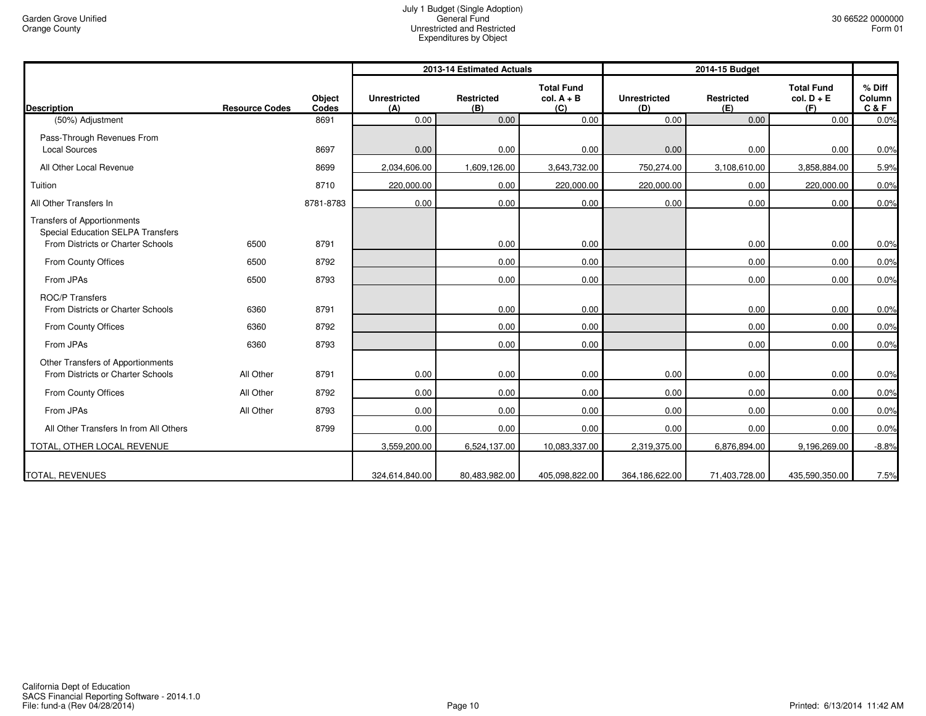|                                                                                                                     |                       |                 |                            | 2013-14 Estimated Actuals |                                          | 2014-15 Budget             |                          |                                          |                           |
|---------------------------------------------------------------------------------------------------------------------|-----------------------|-----------------|----------------------------|---------------------------|------------------------------------------|----------------------------|--------------------------|------------------------------------------|---------------------------|
| <b>Description</b>                                                                                                  | <b>Resource Codes</b> | Object<br>Codes | <b>Unrestricted</b><br>(A) | <b>Restricted</b><br>(B)  | <b>Total Fund</b><br>$col. A + B$<br>(C) | <b>Unrestricted</b><br>(D) | <b>Restricted</b><br>(E) | <b>Total Fund</b><br>$col. D + E$<br>(F) | % Diff<br>Column<br>C & F |
| (50%) Adjustment                                                                                                    |                       | 8691            | 0.00                       | 0.00                      | 0.00                                     | 0.00                       | 0.00                     | 0.00                                     | 0.0%                      |
| Pass-Through Revenues From<br><b>Local Sources</b>                                                                  |                       | 8697            | 0.00                       | 0.00                      | 0.00                                     | 0.00                       | 0.00                     | 0.00                                     | 0.0%                      |
| All Other Local Revenue                                                                                             |                       | 8699            | 2,034,606.00               | 1,609,126.00              | 3,643,732.00                             | 750,274.00                 | 3,108,610.00             | 3,858,884.00                             | 5.9%                      |
| Tuition                                                                                                             |                       | 8710            | 220,000.00                 | 0.00                      | 220,000.00                               | 220,000.00                 | 0.00                     | 220,000.00                               | 0.0%                      |
| All Other Transfers In                                                                                              |                       | 8781-8783       | 0.00                       | 0.00                      | 0.00                                     | 0.00                       | 0.00                     | 0.00                                     | 0.0%                      |
| <b>Transfers of Apportionments</b><br><b>Special Education SELPA Transfers</b><br>From Districts or Charter Schools | 6500                  | 8791            |                            | 0.00                      | 0.00                                     |                            | 0.00                     | 0.00                                     | 0.0%                      |
| From County Offices                                                                                                 | 6500                  | 8792            |                            | 0.00                      | 0.00                                     |                            | 0.00                     | 0.00                                     | 0.0%                      |
| From JPAs                                                                                                           | 6500                  | 8793            |                            | 0.00                      | 0.00                                     |                            | 0.00                     | 0.00                                     | 0.0%                      |
| <b>ROC/P Transfers</b><br>From Districts or Charter Schools                                                         | 6360                  | 8791            |                            | 0.00                      | 0.00                                     |                            | 0.00                     | 0.00                                     | 0.0%                      |
| From County Offices                                                                                                 | 6360                  | 8792            |                            | 0.00                      | 0.00                                     |                            | 0.00                     | 0.00                                     | 0.0%                      |
| From JPAs                                                                                                           | 6360                  | 8793            |                            | 0.00                      | 0.00                                     |                            | 0.00                     | 0.00                                     | 0.0%                      |
| Other Transfers of Apportionments<br>From Districts or Charter Schools                                              | All Other             | 8791            | 0.00                       | 0.00                      | 0.00                                     | 0.00                       | 0.00                     | 0.00                                     | 0.0%                      |
| From County Offices                                                                                                 | All Other             | 8792            | 0.00                       | 0.00                      | 0.00                                     | 0.00                       | 0.00                     | 0.00                                     | 0.0%                      |
| From JPAs                                                                                                           | All Other             | 8793            | 0.00                       | 0.00                      | 0.00                                     | 0.00                       | 0.00                     | 0.00                                     | 0.0%                      |
| All Other Transfers In from All Others                                                                              |                       | 8799            | 0.00                       | 0.00                      | 0.00                                     | 0.00                       | 0.00                     | 0.00                                     | 0.0%                      |
| TOTAL, OTHER LOCAL REVENUE                                                                                          |                       |                 | 3,559,200.00               | 6,524,137.00              | 10,083,337.00                            | 2,319,375.00               | 6,876,894.00             | 9,196,269.00                             | $-8.8%$                   |
| <b>TOTAL, REVENUES</b>                                                                                              |                       |                 | 324,614,840.00             | 80,483,982.00             | 405,098,822.00                           | 364,186,622.00             | 71,403,728.00            | 435,590,350.00                           | 7.5%                      |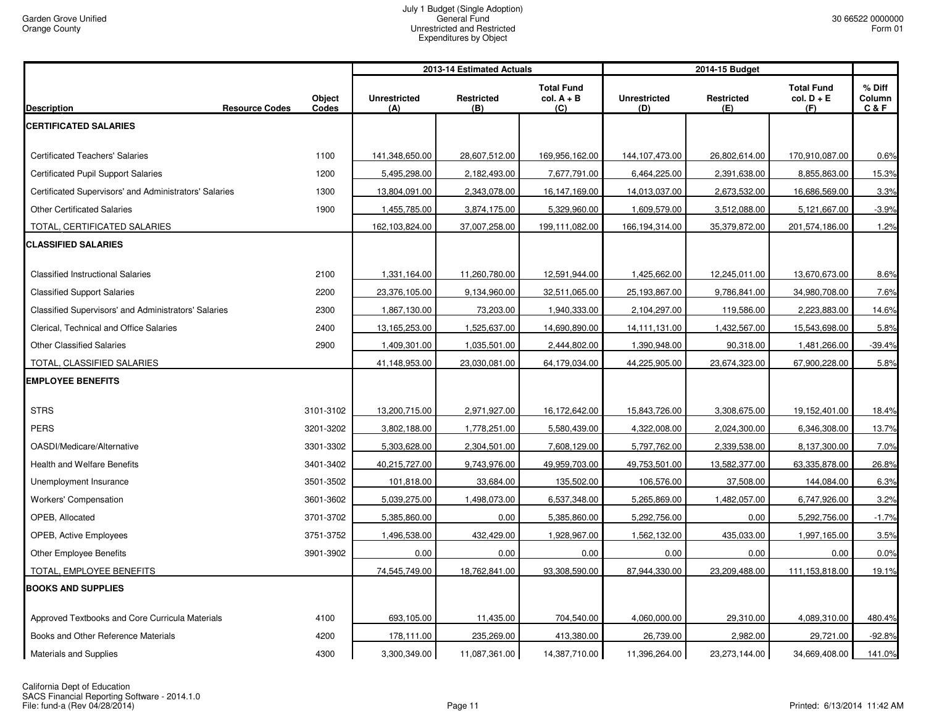| <b>Total Fund</b><br><b>Total Fund</b><br>$%$ Diff<br><b>Restricted</b><br>$col. A + B$<br><b>Restricted</b><br>$col. D + E$<br><b>Object</b><br><b>Unrestricted</b><br><b>Unrestricted</b><br>Column<br>Codes<br><b>Resource Codes</b><br>(B)<br>C & F<br>(A)<br>(C)<br>(D)<br>(E)<br>(F)<br>1100<br><b>Certificated Teachers' Salaries</b><br>141,348,650.00<br>28,607,512.00<br>169,956,162.00<br>144,107,473.00<br>26,802,614.00<br>170,910,087.00<br>1200<br><b>Certificated Pupil Support Salaries</b><br>5,495,298.00<br>2,182,493.00<br>7,677,791.00<br>6,464,225.00<br>2,391,638.00<br>8,855,863.00<br>Certificated Supervisors' and Administrators' Salaries<br>1300<br>3.3%<br>13,804,091.00<br>2,343,078.00<br>16,147,169.00<br>14,013,037.00<br>2,673,532.00<br>16,686,569.00<br><b>Other Certificated Salaries</b><br>1900<br>1,455,785.00<br>3,874,175.00<br>5,329,960.00<br>1,609,579.00<br>3,512,088.00<br>5,121,667.00<br>$-3.9%$<br>TOTAL, CERTIFICATED SALARIES<br>162,103,824.00<br>37,007,258.00<br>199,111,082.00<br>166,194,314.00<br>35,379,872.00<br>201,574,186.00<br>1.2%<br><b>CLASSIFIED SALARIES</b><br><b>Classified Instructional Salaries</b><br>2100<br>1,331,164.00<br>11,260,780.00<br>12,591,944.00<br>1,425,662.00<br>12,245,011.00<br>13,670,673.00<br><b>Classified Support Salaries</b><br>2200<br>23,376,105.00<br>9,134,960.00<br>32,511,065.00<br>25,193,867.00<br>9,786,841.00<br>34,980,708.00<br>Classified Supervisors' and Administrators' Salaries<br>2300<br>73,203.00<br>1,940,333.00<br>2,104,297.00<br>119,586.00<br>2,223,883.00<br>14.6%<br>1,867,130.00<br>Clerical, Technical and Office Salaries<br>2400<br>13,165,253.00<br>1,525,637.00<br>14,690,890.00<br>14,111,131.00<br>1,432,567.00<br>15,543,698.00<br>5.8%<br>2900<br>1,390,948.00<br>$-39.4%$<br><b>Other Classified Salaries</b><br>1,409,301.00<br>1,035,501.00<br>2,444,802.00<br>90,318.00<br>1,481,266.00<br>TOTAL, CLASSIFIED SALARIES<br>41,148,953.00<br>44,225,905.00<br>67,900,228.00<br>23,030,081.00<br>64,179,034.00<br>23,674,323.00<br><b>STRS</b><br>3101-3102<br>13,200,715.00<br>2,971,927.00<br>16,172,642.00<br>15,843,726.00<br>3,308,675.00<br>19,152,401.00<br><b>PERS</b><br>3201-3202<br>3,802,188.00<br>1,778,251.00<br>5,580,439.00<br>4,322,008.00<br>6,346,308.00<br>13.7%<br>2,024,300.00<br>OASDI/Medicare/Alternative<br>3301-3302<br>5,303,628.00<br>2,304,501.00<br>7,608,129.00<br>5,797,762.00<br>2,339,538.00<br>8,137,300.00<br>Health and Welfare Benefits<br>3401-3402<br>49,753,501.00<br>40,215,727.00<br>9,743,976.00<br>49,959,703.00<br>13,582,377.00<br>63,335,878.00<br>26.8%<br>Unemployment Insurance<br>3501-3502<br>101,818.00<br>33,684.00<br>135,502.00<br>106,576.00<br>37,508.00<br>144,084.00<br>6.3%<br>5,039,275.00<br>5,265,869.00<br>1,482,057.00<br>6,747,926.00<br>3.2%<br><b>Workers' Compensation</b><br>3601-3602<br>1,498,073.00<br>6,537,348.00<br>3701-3702<br>0.00<br>5,292,756.00<br>0.00<br>OPEB. Allocated<br>5,385,860.00<br>5,385,860.00<br>5,292,756.00<br>3751-3752<br>432,429.00<br>435,033.00<br>OPEB, Active Employees<br>1,496,538.00<br>1,928,967.00<br>1,562,132.00<br>1,997,165.00<br>3901-3902<br>0.00<br>0.00<br>0.00<br>0.00<br>0.00<br>0.0%<br><b>Other Employee Benefits</b><br>0.00<br>TOTAL, EMPLOYEE BENEFITS<br>74,545,749.00<br>18,762,841.00<br>93,308,590.00<br>87,944,330.00<br>23,209,488.00<br>111,153,818.00<br>19.1% |                                                 |      |            | 2013-14 Estimated Actuals |            | 2014-15 Budget |           |              |        |
|-------------------------------------------------------------------------------------------------------------------------------------------------------------------------------------------------------------------------------------------------------------------------------------------------------------------------------------------------------------------------------------------------------------------------------------------------------------------------------------------------------------------------------------------------------------------------------------------------------------------------------------------------------------------------------------------------------------------------------------------------------------------------------------------------------------------------------------------------------------------------------------------------------------------------------------------------------------------------------------------------------------------------------------------------------------------------------------------------------------------------------------------------------------------------------------------------------------------------------------------------------------------------------------------------------------------------------------------------------------------------------------------------------------------------------------------------------------------------------------------------------------------------------------------------------------------------------------------------------------------------------------------------------------------------------------------------------------------------------------------------------------------------------------------------------------------------------------------------------------------------------------------------------------------------------------------------------------------------------------------------------------------------------------------------------------------------------------------------------------------------------------------------------------------------------------------------------------------------------------------------------------------------------------------------------------------------------------------------------------------------------------------------------------------------------------------------------------------------------------------------------------------------------------------------------------------------------------------------------------------------------------------------------------------------------------------------------------------------------------------------------------------------------------------------------------------------------------------------------------------------------------------------------------------------------------------------------------------------------------------------------------------------------------------------------------------------------------------------------------------------------------------------------------------------------------------------------------------------------------------------------------------------------------------------------------------------------------------------------------------------------------------------------------------------------------------------|-------------------------------------------------|------|------------|---------------------------|------------|----------------|-----------|--------------|--------|
| 0.6%<br>15.3%<br>8.6%<br>7.6%<br>5.8%<br>18.4%<br>7.0%<br>$-1.7%$<br>3.5%                                                                                                                                                                                                                                                                                                                                                                                                                                                                                                                                                                                                                                                                                                                                                                                                                                                                                                                                                                                                                                                                                                                                                                                                                                                                                                                                                                                                                                                                                                                                                                                                                                                                                                                                                                                                                                                                                                                                                                                                                                                                                                                                                                                                                                                                                                                                                                                                                                                                                                                                                                                                                                                                                                                                                                                                                                                                                                                                                                                                                                                                                                                                                                                                                                                                                                                                                                       | <b>Description</b>                              |      |            |                           |            |                |           |              |        |
|                                                                                                                                                                                                                                                                                                                                                                                                                                                                                                                                                                                                                                                                                                                                                                                                                                                                                                                                                                                                                                                                                                                                                                                                                                                                                                                                                                                                                                                                                                                                                                                                                                                                                                                                                                                                                                                                                                                                                                                                                                                                                                                                                                                                                                                                                                                                                                                                                                                                                                                                                                                                                                                                                                                                                                                                                                                                                                                                                                                                                                                                                                                                                                                                                                                                                                                                                                                                                                                 | <b>CERTIFICATED SALARIES</b>                    |      |            |                           |            |                |           |              |        |
|                                                                                                                                                                                                                                                                                                                                                                                                                                                                                                                                                                                                                                                                                                                                                                                                                                                                                                                                                                                                                                                                                                                                                                                                                                                                                                                                                                                                                                                                                                                                                                                                                                                                                                                                                                                                                                                                                                                                                                                                                                                                                                                                                                                                                                                                                                                                                                                                                                                                                                                                                                                                                                                                                                                                                                                                                                                                                                                                                                                                                                                                                                                                                                                                                                                                                                                                                                                                                                                 |                                                 |      |            |                           |            |                |           |              |        |
|                                                                                                                                                                                                                                                                                                                                                                                                                                                                                                                                                                                                                                                                                                                                                                                                                                                                                                                                                                                                                                                                                                                                                                                                                                                                                                                                                                                                                                                                                                                                                                                                                                                                                                                                                                                                                                                                                                                                                                                                                                                                                                                                                                                                                                                                                                                                                                                                                                                                                                                                                                                                                                                                                                                                                                                                                                                                                                                                                                                                                                                                                                                                                                                                                                                                                                                                                                                                                                                 |                                                 |      |            |                           |            |                |           |              |        |
|                                                                                                                                                                                                                                                                                                                                                                                                                                                                                                                                                                                                                                                                                                                                                                                                                                                                                                                                                                                                                                                                                                                                                                                                                                                                                                                                                                                                                                                                                                                                                                                                                                                                                                                                                                                                                                                                                                                                                                                                                                                                                                                                                                                                                                                                                                                                                                                                                                                                                                                                                                                                                                                                                                                                                                                                                                                                                                                                                                                                                                                                                                                                                                                                                                                                                                                                                                                                                                                 |                                                 |      |            |                           |            |                |           |              |        |
|                                                                                                                                                                                                                                                                                                                                                                                                                                                                                                                                                                                                                                                                                                                                                                                                                                                                                                                                                                                                                                                                                                                                                                                                                                                                                                                                                                                                                                                                                                                                                                                                                                                                                                                                                                                                                                                                                                                                                                                                                                                                                                                                                                                                                                                                                                                                                                                                                                                                                                                                                                                                                                                                                                                                                                                                                                                                                                                                                                                                                                                                                                                                                                                                                                                                                                                                                                                                                                                 |                                                 |      |            |                           |            |                |           |              |        |
|                                                                                                                                                                                                                                                                                                                                                                                                                                                                                                                                                                                                                                                                                                                                                                                                                                                                                                                                                                                                                                                                                                                                                                                                                                                                                                                                                                                                                                                                                                                                                                                                                                                                                                                                                                                                                                                                                                                                                                                                                                                                                                                                                                                                                                                                                                                                                                                                                                                                                                                                                                                                                                                                                                                                                                                                                                                                                                                                                                                                                                                                                                                                                                                                                                                                                                                                                                                                                                                 |                                                 |      |            |                           |            |                |           |              |        |
|                                                                                                                                                                                                                                                                                                                                                                                                                                                                                                                                                                                                                                                                                                                                                                                                                                                                                                                                                                                                                                                                                                                                                                                                                                                                                                                                                                                                                                                                                                                                                                                                                                                                                                                                                                                                                                                                                                                                                                                                                                                                                                                                                                                                                                                                                                                                                                                                                                                                                                                                                                                                                                                                                                                                                                                                                                                                                                                                                                                                                                                                                                                                                                                                                                                                                                                                                                                                                                                 |                                                 |      |            |                           |            |                |           |              |        |
|                                                                                                                                                                                                                                                                                                                                                                                                                                                                                                                                                                                                                                                                                                                                                                                                                                                                                                                                                                                                                                                                                                                                                                                                                                                                                                                                                                                                                                                                                                                                                                                                                                                                                                                                                                                                                                                                                                                                                                                                                                                                                                                                                                                                                                                                                                                                                                                                                                                                                                                                                                                                                                                                                                                                                                                                                                                                                                                                                                                                                                                                                                                                                                                                                                                                                                                                                                                                                                                 |                                                 |      |            |                           |            |                |           |              |        |
|                                                                                                                                                                                                                                                                                                                                                                                                                                                                                                                                                                                                                                                                                                                                                                                                                                                                                                                                                                                                                                                                                                                                                                                                                                                                                                                                                                                                                                                                                                                                                                                                                                                                                                                                                                                                                                                                                                                                                                                                                                                                                                                                                                                                                                                                                                                                                                                                                                                                                                                                                                                                                                                                                                                                                                                                                                                                                                                                                                                                                                                                                                                                                                                                                                                                                                                                                                                                                                                 |                                                 |      |            |                           |            |                |           |              |        |
|                                                                                                                                                                                                                                                                                                                                                                                                                                                                                                                                                                                                                                                                                                                                                                                                                                                                                                                                                                                                                                                                                                                                                                                                                                                                                                                                                                                                                                                                                                                                                                                                                                                                                                                                                                                                                                                                                                                                                                                                                                                                                                                                                                                                                                                                                                                                                                                                                                                                                                                                                                                                                                                                                                                                                                                                                                                                                                                                                                                                                                                                                                                                                                                                                                                                                                                                                                                                                                                 |                                                 |      |            |                           |            |                |           |              |        |
|                                                                                                                                                                                                                                                                                                                                                                                                                                                                                                                                                                                                                                                                                                                                                                                                                                                                                                                                                                                                                                                                                                                                                                                                                                                                                                                                                                                                                                                                                                                                                                                                                                                                                                                                                                                                                                                                                                                                                                                                                                                                                                                                                                                                                                                                                                                                                                                                                                                                                                                                                                                                                                                                                                                                                                                                                                                                                                                                                                                                                                                                                                                                                                                                                                                                                                                                                                                                                                                 |                                                 |      |            |                           |            |                |           |              |        |
|                                                                                                                                                                                                                                                                                                                                                                                                                                                                                                                                                                                                                                                                                                                                                                                                                                                                                                                                                                                                                                                                                                                                                                                                                                                                                                                                                                                                                                                                                                                                                                                                                                                                                                                                                                                                                                                                                                                                                                                                                                                                                                                                                                                                                                                                                                                                                                                                                                                                                                                                                                                                                                                                                                                                                                                                                                                                                                                                                                                                                                                                                                                                                                                                                                                                                                                                                                                                                                                 |                                                 |      |            |                           |            |                |           |              |        |
|                                                                                                                                                                                                                                                                                                                                                                                                                                                                                                                                                                                                                                                                                                                                                                                                                                                                                                                                                                                                                                                                                                                                                                                                                                                                                                                                                                                                                                                                                                                                                                                                                                                                                                                                                                                                                                                                                                                                                                                                                                                                                                                                                                                                                                                                                                                                                                                                                                                                                                                                                                                                                                                                                                                                                                                                                                                                                                                                                                                                                                                                                                                                                                                                                                                                                                                                                                                                                                                 |                                                 |      |            |                           |            |                |           |              |        |
|                                                                                                                                                                                                                                                                                                                                                                                                                                                                                                                                                                                                                                                                                                                                                                                                                                                                                                                                                                                                                                                                                                                                                                                                                                                                                                                                                                                                                                                                                                                                                                                                                                                                                                                                                                                                                                                                                                                                                                                                                                                                                                                                                                                                                                                                                                                                                                                                                                                                                                                                                                                                                                                                                                                                                                                                                                                                                                                                                                                                                                                                                                                                                                                                                                                                                                                                                                                                                                                 |                                                 |      |            |                           |            |                |           |              |        |
|                                                                                                                                                                                                                                                                                                                                                                                                                                                                                                                                                                                                                                                                                                                                                                                                                                                                                                                                                                                                                                                                                                                                                                                                                                                                                                                                                                                                                                                                                                                                                                                                                                                                                                                                                                                                                                                                                                                                                                                                                                                                                                                                                                                                                                                                                                                                                                                                                                                                                                                                                                                                                                                                                                                                                                                                                                                                                                                                                                                                                                                                                                                                                                                                                                                                                                                                                                                                                                                 | <b>EMPLOYEE BENEFITS</b>                        |      |            |                           |            |                |           |              |        |
|                                                                                                                                                                                                                                                                                                                                                                                                                                                                                                                                                                                                                                                                                                                                                                                                                                                                                                                                                                                                                                                                                                                                                                                                                                                                                                                                                                                                                                                                                                                                                                                                                                                                                                                                                                                                                                                                                                                                                                                                                                                                                                                                                                                                                                                                                                                                                                                                                                                                                                                                                                                                                                                                                                                                                                                                                                                                                                                                                                                                                                                                                                                                                                                                                                                                                                                                                                                                                                                 |                                                 |      |            |                           |            |                |           |              |        |
|                                                                                                                                                                                                                                                                                                                                                                                                                                                                                                                                                                                                                                                                                                                                                                                                                                                                                                                                                                                                                                                                                                                                                                                                                                                                                                                                                                                                                                                                                                                                                                                                                                                                                                                                                                                                                                                                                                                                                                                                                                                                                                                                                                                                                                                                                                                                                                                                                                                                                                                                                                                                                                                                                                                                                                                                                                                                                                                                                                                                                                                                                                                                                                                                                                                                                                                                                                                                                                                 |                                                 |      |            |                           |            |                |           |              |        |
|                                                                                                                                                                                                                                                                                                                                                                                                                                                                                                                                                                                                                                                                                                                                                                                                                                                                                                                                                                                                                                                                                                                                                                                                                                                                                                                                                                                                                                                                                                                                                                                                                                                                                                                                                                                                                                                                                                                                                                                                                                                                                                                                                                                                                                                                                                                                                                                                                                                                                                                                                                                                                                                                                                                                                                                                                                                                                                                                                                                                                                                                                                                                                                                                                                                                                                                                                                                                                                                 |                                                 |      |            |                           |            |                |           |              |        |
|                                                                                                                                                                                                                                                                                                                                                                                                                                                                                                                                                                                                                                                                                                                                                                                                                                                                                                                                                                                                                                                                                                                                                                                                                                                                                                                                                                                                                                                                                                                                                                                                                                                                                                                                                                                                                                                                                                                                                                                                                                                                                                                                                                                                                                                                                                                                                                                                                                                                                                                                                                                                                                                                                                                                                                                                                                                                                                                                                                                                                                                                                                                                                                                                                                                                                                                                                                                                                                                 |                                                 |      |            |                           |            |                |           |              |        |
|                                                                                                                                                                                                                                                                                                                                                                                                                                                                                                                                                                                                                                                                                                                                                                                                                                                                                                                                                                                                                                                                                                                                                                                                                                                                                                                                                                                                                                                                                                                                                                                                                                                                                                                                                                                                                                                                                                                                                                                                                                                                                                                                                                                                                                                                                                                                                                                                                                                                                                                                                                                                                                                                                                                                                                                                                                                                                                                                                                                                                                                                                                                                                                                                                                                                                                                                                                                                                                                 |                                                 |      |            |                           |            |                |           |              |        |
|                                                                                                                                                                                                                                                                                                                                                                                                                                                                                                                                                                                                                                                                                                                                                                                                                                                                                                                                                                                                                                                                                                                                                                                                                                                                                                                                                                                                                                                                                                                                                                                                                                                                                                                                                                                                                                                                                                                                                                                                                                                                                                                                                                                                                                                                                                                                                                                                                                                                                                                                                                                                                                                                                                                                                                                                                                                                                                                                                                                                                                                                                                                                                                                                                                                                                                                                                                                                                                                 |                                                 |      |            |                           |            |                |           |              |        |
|                                                                                                                                                                                                                                                                                                                                                                                                                                                                                                                                                                                                                                                                                                                                                                                                                                                                                                                                                                                                                                                                                                                                                                                                                                                                                                                                                                                                                                                                                                                                                                                                                                                                                                                                                                                                                                                                                                                                                                                                                                                                                                                                                                                                                                                                                                                                                                                                                                                                                                                                                                                                                                                                                                                                                                                                                                                                                                                                                                                                                                                                                                                                                                                                                                                                                                                                                                                                                                                 |                                                 |      |            |                           |            |                |           |              |        |
|                                                                                                                                                                                                                                                                                                                                                                                                                                                                                                                                                                                                                                                                                                                                                                                                                                                                                                                                                                                                                                                                                                                                                                                                                                                                                                                                                                                                                                                                                                                                                                                                                                                                                                                                                                                                                                                                                                                                                                                                                                                                                                                                                                                                                                                                                                                                                                                                                                                                                                                                                                                                                                                                                                                                                                                                                                                                                                                                                                                                                                                                                                                                                                                                                                                                                                                                                                                                                                                 |                                                 |      |            |                           |            |                |           |              |        |
|                                                                                                                                                                                                                                                                                                                                                                                                                                                                                                                                                                                                                                                                                                                                                                                                                                                                                                                                                                                                                                                                                                                                                                                                                                                                                                                                                                                                                                                                                                                                                                                                                                                                                                                                                                                                                                                                                                                                                                                                                                                                                                                                                                                                                                                                                                                                                                                                                                                                                                                                                                                                                                                                                                                                                                                                                                                                                                                                                                                                                                                                                                                                                                                                                                                                                                                                                                                                                                                 |                                                 |      |            |                           |            |                |           |              |        |
|                                                                                                                                                                                                                                                                                                                                                                                                                                                                                                                                                                                                                                                                                                                                                                                                                                                                                                                                                                                                                                                                                                                                                                                                                                                                                                                                                                                                                                                                                                                                                                                                                                                                                                                                                                                                                                                                                                                                                                                                                                                                                                                                                                                                                                                                                                                                                                                                                                                                                                                                                                                                                                                                                                                                                                                                                                                                                                                                                                                                                                                                                                                                                                                                                                                                                                                                                                                                                                                 |                                                 |      |            |                           |            |                |           |              |        |
|                                                                                                                                                                                                                                                                                                                                                                                                                                                                                                                                                                                                                                                                                                                                                                                                                                                                                                                                                                                                                                                                                                                                                                                                                                                                                                                                                                                                                                                                                                                                                                                                                                                                                                                                                                                                                                                                                                                                                                                                                                                                                                                                                                                                                                                                                                                                                                                                                                                                                                                                                                                                                                                                                                                                                                                                                                                                                                                                                                                                                                                                                                                                                                                                                                                                                                                                                                                                                                                 |                                                 |      |            |                           |            |                |           |              |        |
|                                                                                                                                                                                                                                                                                                                                                                                                                                                                                                                                                                                                                                                                                                                                                                                                                                                                                                                                                                                                                                                                                                                                                                                                                                                                                                                                                                                                                                                                                                                                                                                                                                                                                                                                                                                                                                                                                                                                                                                                                                                                                                                                                                                                                                                                                                                                                                                                                                                                                                                                                                                                                                                                                                                                                                                                                                                                                                                                                                                                                                                                                                                                                                                                                                                                                                                                                                                                                                                 | <b>BOOKS AND SUPPLIES</b>                       |      |            |                           |            |                |           |              |        |
|                                                                                                                                                                                                                                                                                                                                                                                                                                                                                                                                                                                                                                                                                                                                                                                                                                                                                                                                                                                                                                                                                                                                                                                                                                                                                                                                                                                                                                                                                                                                                                                                                                                                                                                                                                                                                                                                                                                                                                                                                                                                                                                                                                                                                                                                                                                                                                                                                                                                                                                                                                                                                                                                                                                                                                                                                                                                                                                                                                                                                                                                                                                                                                                                                                                                                                                                                                                                                                                 | Approved Textbooks and Core Curricula Materials | 4100 | 693,105.00 | 11,435.00                 | 704,540.00 | 4,060,000.00   | 29,310.00 | 4,089,310.00 | 480.4% |
| Books and Other Reference Materials<br>4200<br>235,269.00<br>413,380.00<br>26,739.00<br>2,982.00<br>29,721.00<br>$-92.8%$<br>178,111.00                                                                                                                                                                                                                                                                                                                                                                                                                                                                                                                                                                                                                                                                                                                                                                                                                                                                                                                                                                                                                                                                                                                                                                                                                                                                                                                                                                                                                                                                                                                                                                                                                                                                                                                                                                                                                                                                                                                                                                                                                                                                                                                                                                                                                                                                                                                                                                                                                                                                                                                                                                                                                                                                                                                                                                                                                                                                                                                                                                                                                                                                                                                                                                                                                                                                                                         |                                                 |      |            |                           |            |                |           |              |        |
| <b>Materials and Supplies</b><br>4300<br>3,300,349.00<br>11,087,361.00<br>14,387,710.00<br>11,396,264.00<br>23,273,144.00<br>34,669,408.00<br>141.0%                                                                                                                                                                                                                                                                                                                                                                                                                                                                                                                                                                                                                                                                                                                                                                                                                                                                                                                                                                                                                                                                                                                                                                                                                                                                                                                                                                                                                                                                                                                                                                                                                                                                                                                                                                                                                                                                                                                                                                                                                                                                                                                                                                                                                                                                                                                                                                                                                                                                                                                                                                                                                                                                                                                                                                                                                                                                                                                                                                                                                                                                                                                                                                                                                                                                                            |                                                 |      |            |                           |            |                |           |              |        |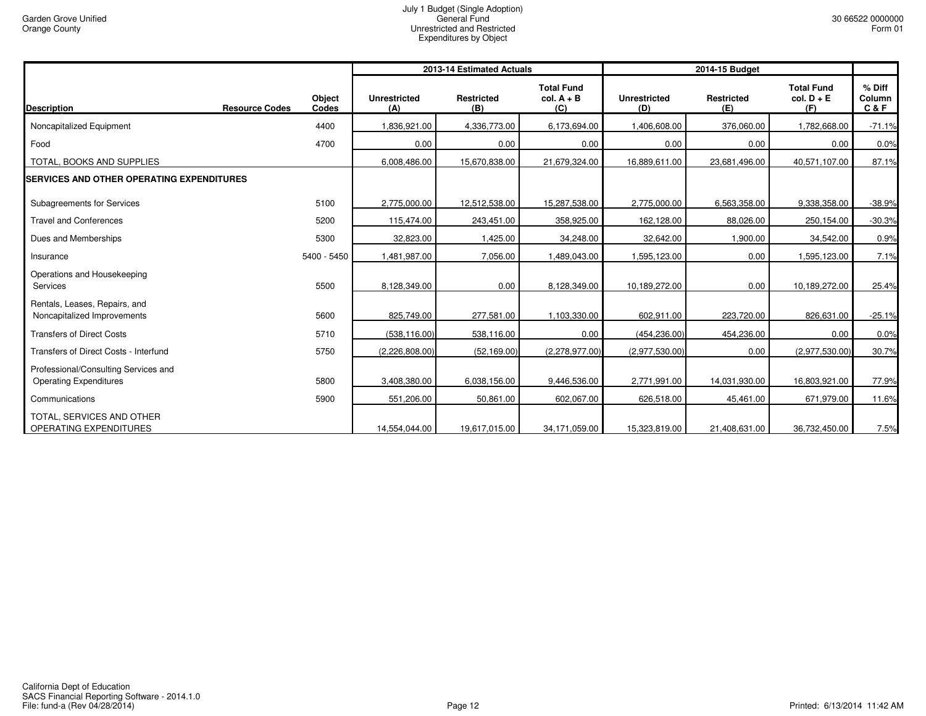|                                                                       |                                          |                            | 2013-14 Estimated Actuals |                                          | 2014-15 Budget             |                          |                                          |                           |
|-----------------------------------------------------------------------|------------------------------------------|----------------------------|---------------------------|------------------------------------------|----------------------------|--------------------------|------------------------------------------|---------------------------|
| <b>Description</b>                                                    | Object<br><b>Resource Codes</b><br>Codes | <b>Unrestricted</b><br>(A) | <b>Restricted</b><br>(B)  | <b>Total Fund</b><br>$col. A + B$<br>(C) | <b>Unrestricted</b><br>(D) | <b>Restricted</b><br>(E) | <b>Total Fund</b><br>$col. D + E$<br>(F) | % Diff<br>Column<br>C & F |
| Noncapitalized Equipment                                              | 4400                                     | 1,836,921.00               | 4,336,773.00              | 6,173,694.00                             | 1,406,608.00               | 376,060.00               | 1,782,668.00                             | $-71.1%$                  |
| Food                                                                  | 4700                                     | 0.00                       | 0.00                      | 0.00                                     | 0.00                       | 0.00                     | 0.00                                     | 0.0%                      |
| TOTAL, BOOKS AND SUPPLIES                                             |                                          | 6,008,486.00               | 15,670,838.00             | 21,679,324.00                            | 16,889,611.00              | 23,681,496.00            | 40,571,107.00                            | 87.1%                     |
| <b>SERVICES AND OTHER OPERATING EXPENDITURES</b>                      |                                          |                            |                           |                                          |                            |                          |                                          |                           |
| Subagreements for Services                                            | 5100                                     | 2,775,000.00               | 12,512,538.00             | 15,287,538.00                            | 2,775,000.00               | 6,563,358.00             | 9,338,358.00                             | $-38.9%$                  |
| <b>Travel and Conferences</b>                                         | 5200                                     | 115,474.00                 | 243,451.00                | 358,925.00                               | 162,128.00                 | 88,026.00                | 250,154.00                               | $-30.3%$                  |
| Dues and Memberships                                                  | 5300                                     | 32,823.00                  | 1,425.00                  | 34,248.00                                | 32,642.00                  | 1,900.00                 | 34,542.00                                | 0.9%                      |
| Insurance                                                             | 5400 - 5450                              | 1,481,987.00               | 7,056.00                  | 1,489,043.00                             | 1,595,123.00               | 0.00                     | 1,595,123.00                             | 7.1%                      |
| Operations and Housekeeping<br>Services                               | 5500                                     | 8,128,349.00               | 0.00                      | 8,128,349.00                             | 10,189,272.00              | 0.00                     | 10,189,272.00                            | 25.4%                     |
| Rentals, Leases, Repairs, and<br>Noncapitalized Improvements          | 5600                                     | 825,749.00                 | 277,581.00                | 1,103,330.00                             | 602,911.00                 | 223,720.00               | 826,631.00                               | $-25.1%$                  |
| <b>Transfers of Direct Costs</b>                                      | 5710                                     | (538, 116.00)              | 538,116.00                | 0.00                                     | (454, 236.00)              | 454,236.00               | 0.00                                     | 0.0%                      |
| Transfers of Direct Costs - Interfund                                 | 5750                                     | (2,226,808.00)             | (52, 169.00)              | (2,278,977.00)                           | (2,977,530.00)             | 0.00                     | (2,977,530.00)                           | 30.7%                     |
| Professional/Consulting Services and<br><b>Operating Expenditures</b> | 5800                                     | 3,408,380.00               | 6,038,156.00              | 9,446,536.00                             | 2,771,991.00               | 14,031,930.00            | 16,803,921.00                            | 77.9%                     |
| Communications                                                        | 5900                                     | 551,206.00                 | 50,861.00                 | 602,067.00                               | 626,518.00                 | 45,461.00                | 671,979.00                               | 11.6%                     |
| TOTAL, SERVICES AND OTHER<br>OPERATING EXPENDITURES                   |                                          | 14,554,044.00              | 19,617,015.00             | 34,171,059.00                            | 15,323,819.00              | 21,408,631.00            | 36,732,450.00                            | 7.5%                      |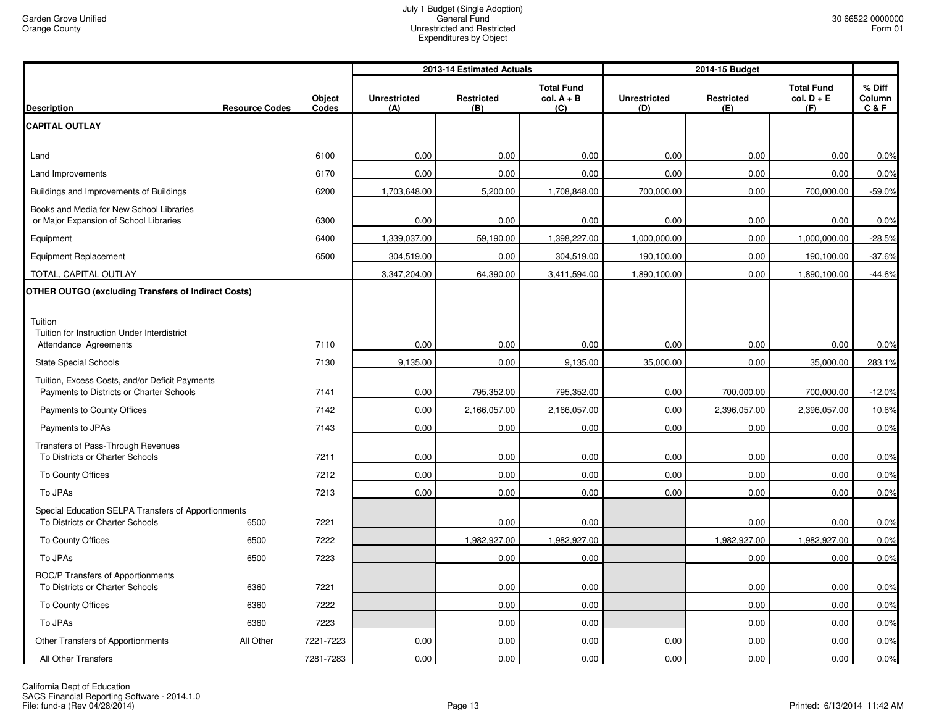|                                                                                            |                       |                 | 2013-14 Estimated Actuals  |                          |                                          | 2014-15 Budget             |                          |                                          |                           |
|--------------------------------------------------------------------------------------------|-----------------------|-----------------|----------------------------|--------------------------|------------------------------------------|----------------------------|--------------------------|------------------------------------------|---------------------------|
| <b>Description</b>                                                                         | <b>Resource Codes</b> | Object<br>Codes | <b>Unrestricted</b><br>(A) | <b>Restricted</b><br>(B) | <b>Total Fund</b><br>$col. A + B$<br>(C) | <b>Unrestricted</b><br>(D) | <b>Restricted</b><br>(E) | <b>Total Fund</b><br>$col. D + E$<br>(F) | % Diff<br>Column<br>C & F |
| <b>CAPITAL OUTLAY</b>                                                                      |                       |                 |                            |                          |                                          |                            |                          |                                          |                           |
| Land                                                                                       |                       | 6100            | 0.00                       | 0.00                     | 0.00                                     | 0.00                       | 0.00                     | 0.00                                     | 0.0%                      |
| Land Improvements                                                                          |                       | 6170            | 0.00                       | 0.00                     | 0.00                                     | 0.00                       | 0.00                     | 0.00                                     | 0.0%                      |
| Buildings and Improvements of Buildings                                                    |                       | 6200            | 1,703,648.00               | 5,200.00                 | 1,708,848.00                             | 700,000.00                 | 0.00                     | 700,000.00                               | $-59.0%$                  |
| Books and Media for New School Libraries<br>or Major Expansion of School Libraries         |                       | 6300            | 0.00                       | 0.00                     | 0.00                                     | 0.00                       | 0.00                     | 0.00                                     | 0.0%                      |
| Equipment                                                                                  |                       | 6400            | 1,339,037.00               | 59,190.00                | 1,398,227.00                             | 1,000,000.00               | 0.00                     | 1,000,000.00                             | $-28.5%$                  |
| <b>Equipment Replacement</b>                                                               |                       | 6500            | 304,519.00                 | 0.00                     | 304,519.00                               | 190,100.00                 | 0.00                     | 190,100.00                               | $-37.6%$                  |
| TOTAL, CAPITAL OUTLAY                                                                      |                       |                 | 3,347,204.00               | 64,390.00                | 3,411,594.00                             | 1,890,100.00               | 0.00                     | 1,890,100.00                             | $-44.6%$                  |
| <b>OTHER OUTGO (excluding Transfers of Indirect Costs)</b>                                 |                       |                 |                            |                          |                                          |                            |                          |                                          |                           |
| Tuition<br>Tuition for Instruction Under Interdistrict<br>Attendance Agreements            |                       | 7110            | 0.00                       | 0.00                     | 0.00                                     | 0.00                       | 0.00                     | 0.00                                     | 0.0%                      |
| <b>State Special Schools</b>                                                               |                       | 7130            | 9,135.00                   | 0.00                     | 9,135.00                                 | 35,000.00                  | 0.00                     | 35,000.00                                | 283.1%                    |
| Tuition, Excess Costs, and/or Deficit Payments<br>Payments to Districts or Charter Schools |                       | 7141            | 0.00                       | 795,352.00               | 795,352.00                               | 0.00                       | 700,000.00               | 700,000.00                               | $-12.0%$                  |
| Payments to County Offices                                                                 |                       | 7142            | 0.00                       | 2,166,057.00             | 2,166,057.00                             | 0.00                       | 2,396,057.00             | 2,396,057.00                             | 10.6%                     |
| Payments to JPAs                                                                           |                       | 7143            | 0.00                       | 0.00                     | 0.00                                     | 0.00                       | 0.00                     | 0.00                                     | 0.0%                      |
| Transfers of Pass-Through Revenues<br>To Districts or Charter Schools                      |                       | 7211            | 0.00                       | 0.00                     | 0.00                                     | 0.00                       | 0.00                     | 0.00                                     | 0.0%                      |
| To County Offices                                                                          |                       | 7212            | 0.00                       | 0.00                     | 0.00                                     | 0.00                       | 0.00                     | 0.00                                     | 0.0%                      |
| To JPAs                                                                                    |                       | 7213            | 0.00                       | 0.00                     | 0.00                                     | 0.00                       | 0.00                     | 0.00                                     | 0.0%                      |
| Special Education SELPA Transfers of Apportionments<br>To Districts or Charter Schools     | 6500                  | 7221            |                            | 0.00                     | 0.00                                     |                            | 0.00                     | 0.00                                     | 0.0%                      |
| To County Offices                                                                          | 6500                  | 7222            |                            | 1,982,927.00             | 1,982,927.00                             |                            | 1,982,927.00             | 1,982,927.00                             | 0.0%                      |
| To JPAs                                                                                    | 6500                  | 7223            |                            | 0.00                     | 0.00                                     |                            | 0.00                     | 0.00                                     | 0.0%                      |
| ROC/P Transfers of Apportionments<br>To Districts or Charter Schools                       | 6360                  | 7221            |                            | 0.00                     | 0.00                                     |                            | 0.00                     | 0.00                                     | 0.0%                      |
| To County Offices                                                                          | 6360                  | 7222            |                            | 0.00                     | 0.00                                     |                            | 0.00                     | 0.00                                     | 0.0%                      |
| To JPAs                                                                                    | 6360                  | 7223            |                            | 0.00                     | 0.00                                     |                            | 0.00                     | 0.00                                     | 0.0%                      |
| Other Transfers of Apportionments                                                          | All Other             | 7221-7223       | 0.00                       | 0.00                     | 0.00                                     | 0.00                       | 0.00                     | 0.00                                     | 0.0%                      |
| All Other Transfers                                                                        |                       | 7281-7283       | 0.00                       | 0.00                     | 0.00                                     | 0.00                       | 0.00                     | 0.00                                     | 0.0%                      |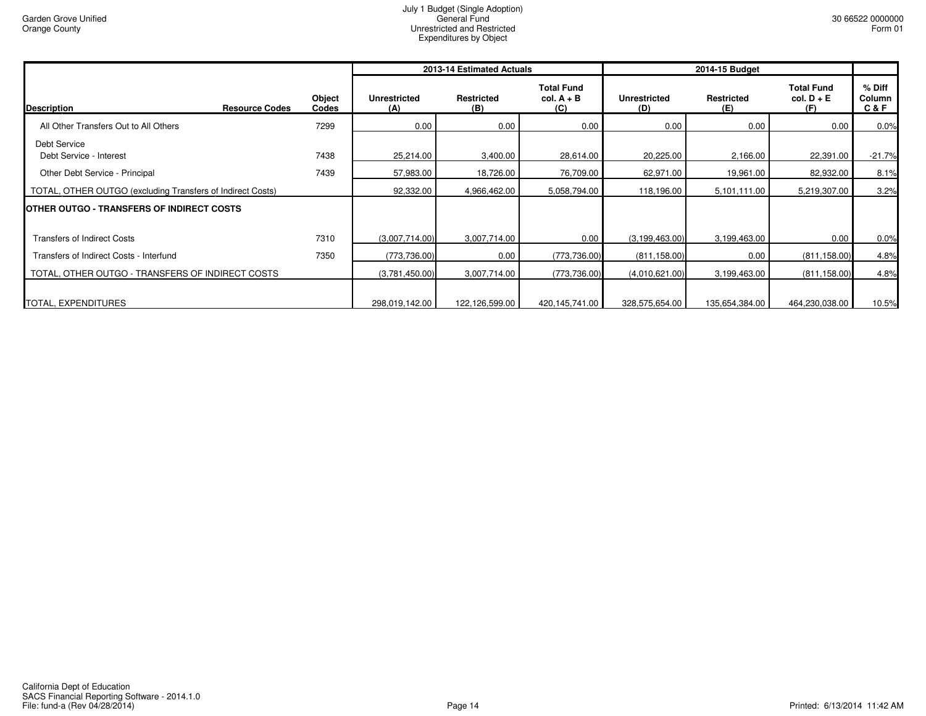|                                                            |                 |                            | 2013-14 Estimated Actuals |                                          | 2014-15 Budget             |                          |                                          |                                  |
|------------------------------------------------------------|-----------------|----------------------------|---------------------------|------------------------------------------|----------------------------|--------------------------|------------------------------------------|----------------------------------|
| <b>Description</b><br><b>Resource Codes</b>                | Object<br>Codes | <b>Unrestricted</b><br>(A) | <b>Restricted</b><br>(B)  | <b>Total Fund</b><br>$col. A + B$<br>(C) | <b>Unrestricted</b><br>(D) | <b>Restricted</b><br>(E) | <b>Total Fund</b><br>$col. D + E$<br>(F) | % Diff<br><b>Column</b><br>C & F |
| All Other Transfers Out to All Others                      | 7299            | 0.00                       | 0.00                      | 0.00                                     | 0.00                       | 0.00                     | 0.00                                     | 0.0%                             |
| Debt Service<br>Debt Service - Interest                    | 7438            | 25,214.00                  | 3,400.00                  | 28,614.00                                | 20,225.00                  | 2,166.00                 | 22,391.00                                | $-21.7%$                         |
| Other Debt Service - Principal                             | 7439            | 57,983.00                  | 18,726.00                 | 76,709.00                                | 62,971.00                  | 19,961.00                | 82,932.00                                | 8.1%                             |
| TOTAL, OTHER OUTGO (excluding Transfers of Indirect Costs) |                 | 92,332.00                  | 4,966,462.00              | 5,058,794.00                             | 118,196.00                 | 5,101,111.00             | 5,219,307.00                             | 3.2%                             |
| <b>OTHER OUTGO - TRANSFERS OF INDIRECT COSTS</b>           |                 |                            |                           |                                          |                            |                          |                                          |                                  |
| <b>Transfers of Indirect Costs</b>                         | 7310            | (3,007,714.00)             | 3,007,714.00              | 0.00                                     | (3, 199, 463.00)           | 3,199,463.00             | 0.00                                     | 0.0%                             |
| Transfers of Indirect Costs - Interfund                    | 7350            | (773, 736.00)              | 0.00                      | (773, 736.00)                            | (811, 158.00)              | 0.00                     | (811, 158.00)                            | 4.8%                             |
| TOTAL, OTHER OUTGO - TRANSFERS OF INDIRECT COSTS           |                 | (3,781,450.00)             | 3,007,714.00              | (773, 736.00)                            | (4,010,621.00)             | 3,199,463.00             | (811, 158.00)                            | 4.8%                             |
| TOTAL, EXPENDITURES                                        |                 | 298,019,142.00             | 122,126,599.00            | 420,145,741.00                           | 328,575,654.00             | 135,654,384.00           | 464,230,038.00                           | 10.5%                            |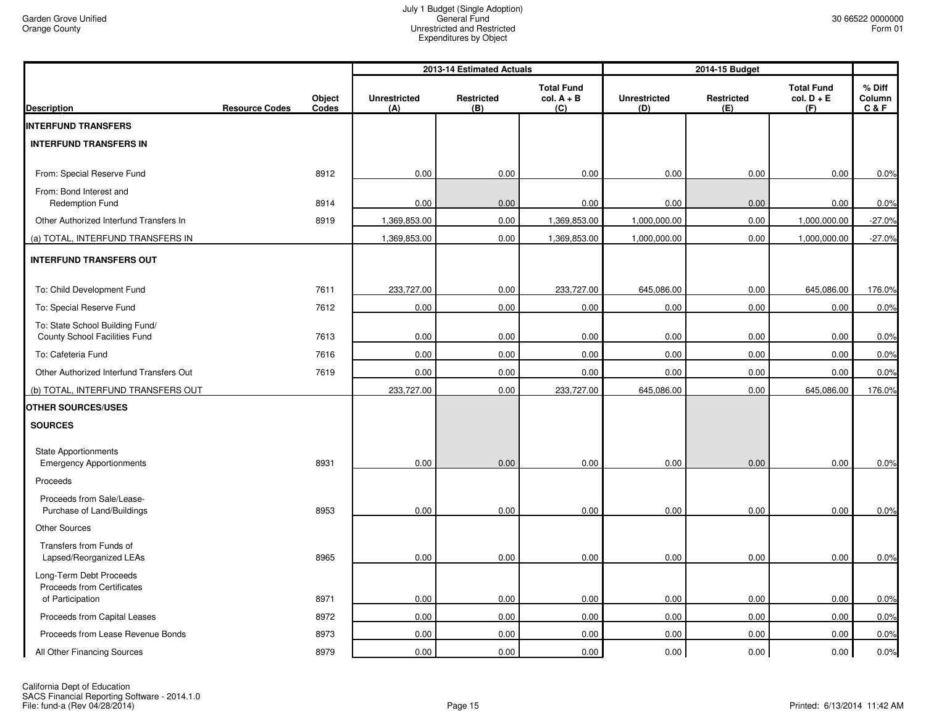|                                                                  |                       |                 | 2013-14 Estimated Actuals  |                          |                                          | 2014-15 Budget             |                          |                                          |                           |
|------------------------------------------------------------------|-----------------------|-----------------|----------------------------|--------------------------|------------------------------------------|----------------------------|--------------------------|------------------------------------------|---------------------------|
| <b>Description</b>                                               | <b>Resource Codes</b> | Object<br>Codes | <b>Unrestricted</b><br>(A) | <b>Restricted</b><br>(B) | <b>Total Fund</b><br>$col. A + B$<br>(C) | <b>Unrestricted</b><br>(D) | <b>Restricted</b><br>(E) | <b>Total Fund</b><br>$col. D + E$<br>(F) | % Diff<br>Column<br>C & F |
| <b>INTERFUND TRANSFERS</b>                                       |                       |                 |                            |                          |                                          |                            |                          |                                          |                           |
| <b>INTERFUND TRANSFERS IN</b>                                    |                       |                 |                            |                          |                                          |                            |                          |                                          |                           |
| From: Special Reserve Fund                                       |                       | 8912            | 0.00                       | 0.00                     | 0.00                                     | 0.00                       | 0.00                     | 0.00                                     | 0.0%                      |
| From: Bond Interest and<br><b>Redemption Fund</b>                |                       | 8914            | 0.00                       | 0.00                     | 0.00                                     | 0.00                       | 0.00                     | 0.00                                     | 0.0%                      |
| Other Authorized Interfund Transfers In                          |                       | 8919            | 1,369,853.00               | 0.00                     | 1,369,853.00                             | 1,000,000.00               | 0.00                     | 1,000,000.00                             | $-27.0%$                  |
| (a) TOTAL, INTERFUND TRANSFERS IN                                |                       |                 | 1,369,853.00               | 0.00                     | 1,369,853.00                             | 1,000,000.00               | 0.00                     | 1,000,000.00                             | $-27.0%$                  |
| <b>INTERFUND TRANSFERS OUT</b>                                   |                       |                 |                            |                          |                                          |                            |                          |                                          |                           |
| To: Child Development Fund                                       |                       | 7611            | 233,727.00                 | 0.00                     | 233,727.00                               | 645,086.00                 | 0.00                     | 645,086.00                               | 176.0%                    |
| To: Special Reserve Fund                                         |                       | 7612            | 0.00                       | 0.00                     | 0.00                                     | 0.00                       | 0.00                     | 0.00                                     | 0.0%                      |
| To: State School Building Fund/<br>County School Facilities Fund |                       | 7613            | 0.00                       | 0.00                     | 0.00                                     | 0.00                       | 0.00                     | 0.00                                     | 0.0%                      |
| To: Cafeteria Fund                                               |                       | 7616            | 0.00                       | 0.00                     | 0.00                                     | 0.00                       | 0.00                     | 0.00                                     | 0.0%                      |
| Other Authorized Interfund Transfers Out                         |                       | 7619            | 0.00                       | 0.00                     | 0.00                                     | 0.00                       | 0.00                     | 0.00                                     | 0.0%                      |
| (b) TOTAL, INTERFUND TRANSFERS OUT                               |                       |                 | 233,727.00                 | 0.00                     | 233,727.00                               | 645,086.00                 | 0.00                     | 645,086.00                               | 176.0%                    |
| <b>OTHER SOURCES/USES</b>                                        |                       |                 |                            |                          |                                          |                            |                          |                                          |                           |
| <b>SOURCES</b>                                                   |                       |                 |                            |                          |                                          |                            |                          |                                          |                           |
| <b>State Apportionments</b><br><b>Emergency Apportionments</b>   |                       | 8931            | 0.00                       | 0.00                     | 0.00                                     | 0.00                       | 0.00                     | 0.00                                     | 0.0%                      |
| Proceeds                                                         |                       |                 |                            |                          |                                          |                            |                          |                                          |                           |
| Proceeds from Sale/Lease-<br>Purchase of Land/Buildings          |                       | 8953            | 0.00                       | 0.00                     | 0.00                                     | 0.00                       | 0.00                     | 0.00                                     | 0.0%                      |
| <b>Other Sources</b>                                             |                       |                 |                            |                          |                                          |                            |                          |                                          |                           |
| Transfers from Funds of<br>Lapsed/Reorganized LEAs               |                       | 8965            | 0.00                       | 0.00                     | 0.00                                     | 0.00                       | 0.00                     | 0.00                                     | 0.0%                      |
| Long-Term Debt Proceeds<br>Proceeds from Certificates            |                       |                 |                            |                          |                                          |                            |                          |                                          |                           |
| of Participation                                                 |                       | 8971            | 0.00                       | 0.00                     | 0.00                                     | 0.00                       | 0.00                     | 0.00                                     | 0.0%                      |
| Proceeds from Capital Leases                                     |                       | 8972            | 0.00                       | 0.00                     | 0.00                                     | 0.00                       | 0.00                     | 0.00                                     | 0.0%                      |
| Proceeds from Lease Revenue Bonds                                |                       | 8973            | 0.00                       | 0.00                     | 0.00                                     | 0.00                       | 0.00                     | 0.00                                     | 0.0%                      |
| All Other Financing Sources                                      |                       | 8979            | 0.00                       | 0.00                     | 0.00                                     | 0.00                       | 0.00                     | 0.00                                     | 0.0%                      |